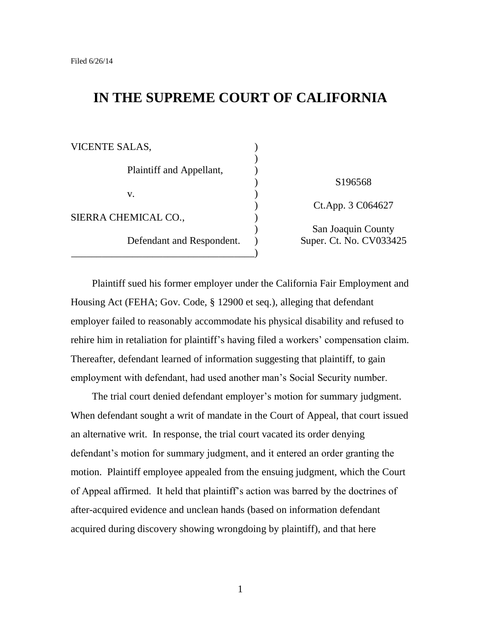# **IN THE SUPREME COURT OF CALIFORNIA**

| VICENTE SALAS,             |                                               |
|----------------------------|-----------------------------------------------|
| Plaintiff and Appellant,   | S <sub>196568</sub>                           |
| V.<br>SIERRA CHEMICAL CO., | Ct.App. 3 C064627                             |
| Defendant and Respondent.  | San Joaquin County<br>Super. Ct. No. CV033425 |
|                            |                                               |

Plaintiff sued his former employer under the California Fair Employment and Housing Act (FEHA; Gov. Code, § 12900 et seq.), alleging that defendant employer failed to reasonably accommodate his physical disability and refused to rehire him in retaliation for plaintiff's having filed a workers' compensation claim. Thereafter, defendant learned of information suggesting that plaintiff, to gain employment with defendant, had used another man"s Social Security number.

The trial court denied defendant employer's motion for summary judgment. When defendant sought a writ of mandate in the Court of Appeal, that court issued an alternative writ. In response, the trial court vacated its order denying defendant"s motion for summary judgment, and it entered an order granting the motion. Plaintiff employee appealed from the ensuing judgment, which the Court of Appeal affirmed. It held that plaintiff"s action was barred by the doctrines of after-acquired evidence and unclean hands (based on information defendant acquired during discovery showing wrongdoing by plaintiff), and that here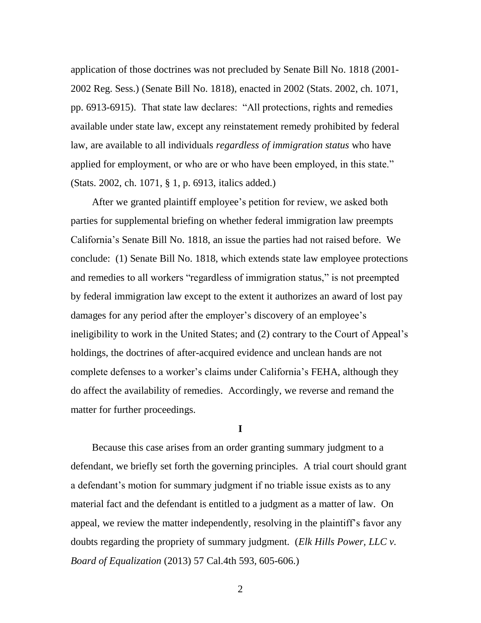application of those doctrines was not precluded by Senate Bill No. 1818 (2001- 2002 Reg. Sess.) (Senate Bill No. 1818), enacted in 2002 (Stats. 2002, ch. 1071, pp. 6913-6915). That state law declares: "All protections, rights and remedies available under state law, except any reinstatement remedy prohibited by federal law, are available to all individuals *regardless of immigration status* who have applied for employment, or who are or who have been employed, in this state." (Stats. 2002, ch. 1071, § 1, p. 6913, italics added.)

After we granted plaintiff employee's petition for review, we asked both parties for supplemental briefing on whether federal immigration law preempts California"s Senate Bill No. 1818, an issue the parties had not raised before. We conclude: (1) Senate Bill No. 1818, which extends state law employee protections and remedies to all workers "regardless of immigration status," is not preempted by federal immigration law except to the extent it authorizes an award of lost pay damages for any period after the employer's discovery of an employee's ineligibility to work in the United States; and (2) contrary to the Court of Appeal"s holdings, the doctrines of after-acquired evidence and unclean hands are not complete defenses to a worker's claims under California's FEHA, although they do affect the availability of remedies. Accordingly, we reverse and remand the matter for further proceedings.

**I**

Because this case arises from an order granting summary judgment to a defendant, we briefly set forth the governing principles. A trial court should grant a defendant's motion for summary judgment if no triable issue exists as to any material fact and the defendant is entitled to a judgment as a matter of law. On appeal, we review the matter independently, resolving in the plaintiff"s favor any doubts regarding the propriety of summary judgment. (*Elk Hills Power, LLC v. Board of Equalization* (2013) 57 Cal.4th 593, 605-606.)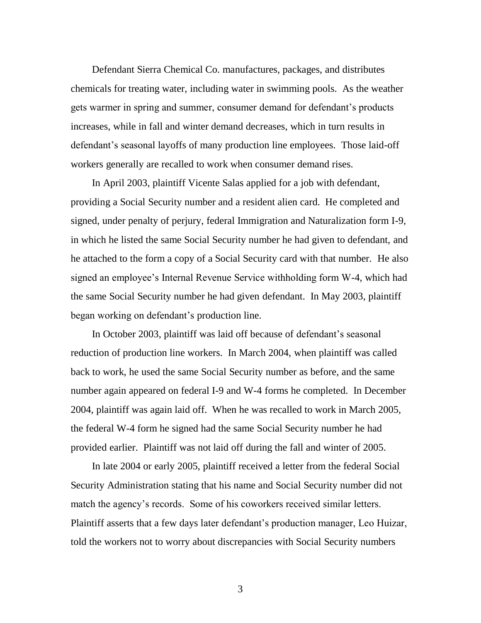Defendant Sierra Chemical Co. manufactures, packages, and distributes chemicals for treating water, including water in swimming pools. As the weather gets warmer in spring and summer, consumer demand for defendant"s products increases, while in fall and winter demand decreases, which in turn results in defendant's seasonal layoffs of many production line employees. Those laid-off workers generally are recalled to work when consumer demand rises.

In April 2003, plaintiff Vicente Salas applied for a job with defendant, providing a Social Security number and a resident alien card. He completed and signed, under penalty of perjury, federal Immigration and Naturalization form I-9, in which he listed the same Social Security number he had given to defendant, and he attached to the form a copy of a Social Security card with that number. He also signed an employee"s Internal Revenue Service withholding form W-4, which had the same Social Security number he had given defendant. In May 2003, plaintiff began working on defendant"s production line.

In October 2003, plaintiff was laid off because of defendant's seasonal reduction of production line workers. In March 2004, when plaintiff was called back to work, he used the same Social Security number as before, and the same number again appeared on federal I-9 and W-4 forms he completed. In December 2004, plaintiff was again laid off. When he was recalled to work in March 2005, the federal W-4 form he signed had the same Social Security number he had provided earlier. Plaintiff was not laid off during the fall and winter of 2005.

In late 2004 or early 2005, plaintiff received a letter from the federal Social Security Administration stating that his name and Social Security number did not match the agency's records. Some of his coworkers received similar letters. Plaintiff asserts that a few days later defendant's production manager, Leo Huizar, told the workers not to worry about discrepancies with Social Security numbers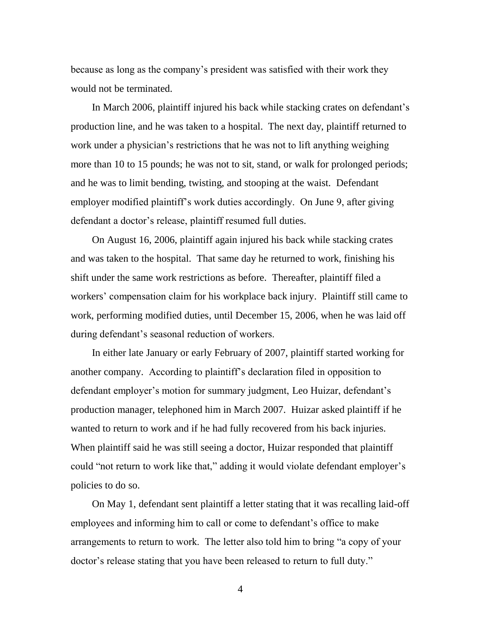because as long as the company"s president was satisfied with their work they would not be terminated.

In March 2006, plaintiff injured his back while stacking crates on defendant"s production line, and he was taken to a hospital. The next day, plaintiff returned to work under a physician's restrictions that he was not to lift anything weighing more than 10 to 15 pounds; he was not to sit, stand, or walk for prolonged periods; and he was to limit bending, twisting, and stooping at the waist. Defendant employer modified plaintiff"s work duties accordingly. On June 9, after giving defendant a doctor's release, plaintiff resumed full duties.

On August 16, 2006, plaintiff again injured his back while stacking crates and was taken to the hospital. That same day he returned to work, finishing his shift under the same work restrictions as before. Thereafter, plaintiff filed a workers' compensation claim for his workplace back injury. Plaintiff still came to work, performing modified duties, until December 15, 2006, when he was laid off during defendant's seasonal reduction of workers.

In either late January or early February of 2007, plaintiff started working for another company. According to plaintiff"s declaration filed in opposition to defendant employer's motion for summary judgment, Leo Huizar, defendant's production manager, telephoned him in March 2007. Huizar asked plaintiff if he wanted to return to work and if he had fully recovered from his back injuries. When plaintiff said he was still seeing a doctor, Huizar responded that plaintiff could "not return to work like that," adding it would violate defendant employer's policies to do so.

On May 1, defendant sent plaintiff a letter stating that it was recalling laid-off employees and informing him to call or come to defendant's office to make arrangements to return to work. The letter also told him to bring "a copy of your doctor's release stating that you have been released to return to full duty."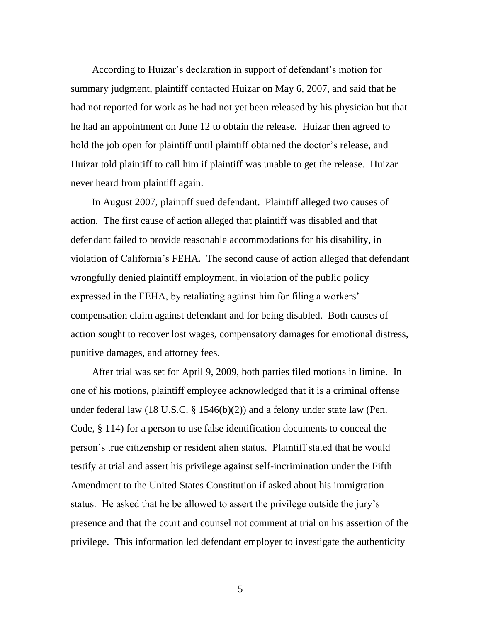According to Huizar's declaration in support of defendant's motion for summary judgment, plaintiff contacted Huizar on May 6, 2007, and said that he had not reported for work as he had not yet been released by his physician but that he had an appointment on June 12 to obtain the release. Huizar then agreed to hold the job open for plaintiff until plaintiff obtained the doctor's release, and Huizar told plaintiff to call him if plaintiff was unable to get the release. Huizar never heard from plaintiff again.

In August 2007, plaintiff sued defendant. Plaintiff alleged two causes of action. The first cause of action alleged that plaintiff was disabled and that defendant failed to provide reasonable accommodations for his disability, in violation of California"s FEHA. The second cause of action alleged that defendant wrongfully denied plaintiff employment, in violation of the public policy expressed in the FEHA, by retaliating against him for filing a workers' compensation claim against defendant and for being disabled. Both causes of action sought to recover lost wages, compensatory damages for emotional distress, punitive damages, and attorney fees.

After trial was set for April 9, 2009, both parties filed motions in limine. In one of his motions, plaintiff employee acknowledged that it is a criminal offense under federal law (18 U.S.C. § 1546(b)(2)) and a felony under state law (Pen. Code, § 114) for a person to use false identification documents to conceal the person"s true citizenship or resident alien status. Plaintiff stated that he would testify at trial and assert his privilege against self-incrimination under the Fifth Amendment to the United States Constitution if asked about his immigration status. He asked that he be allowed to assert the privilege outside the jury"s presence and that the court and counsel not comment at trial on his assertion of the privilege. This information led defendant employer to investigate the authenticity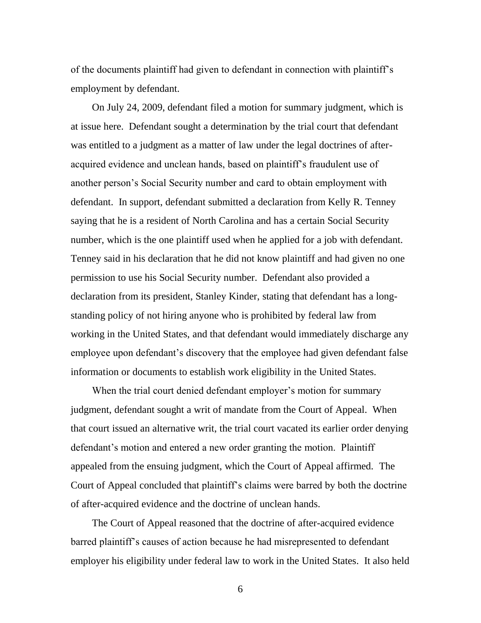of the documents plaintiff had given to defendant in connection with plaintiff"s employment by defendant.

On July 24, 2009, defendant filed a motion for summary judgment, which is at issue here. Defendant sought a determination by the trial court that defendant was entitled to a judgment as a matter of law under the legal doctrines of afteracquired evidence and unclean hands, based on plaintiff"s fraudulent use of another person"s Social Security number and card to obtain employment with defendant. In support, defendant submitted a declaration from Kelly R. Tenney saying that he is a resident of North Carolina and has a certain Social Security number, which is the one plaintiff used when he applied for a job with defendant. Tenney said in his declaration that he did not know plaintiff and had given no one permission to use his Social Security number. Defendant also provided a declaration from its president, Stanley Kinder, stating that defendant has a longstanding policy of not hiring anyone who is prohibited by federal law from working in the United States, and that defendant would immediately discharge any employee upon defendant's discovery that the employee had given defendant false information or documents to establish work eligibility in the United States.

When the trial court denied defendant employer's motion for summary judgment, defendant sought a writ of mandate from the Court of Appeal. When that court issued an alternative writ, the trial court vacated its earlier order denying defendant's motion and entered a new order granting the motion. Plaintiff appealed from the ensuing judgment, which the Court of Appeal affirmed. The Court of Appeal concluded that plaintiff"s claims were barred by both the doctrine of after-acquired evidence and the doctrine of unclean hands.

The Court of Appeal reasoned that the doctrine of after-acquired evidence barred plaintiff"s causes of action because he had misrepresented to defendant employer his eligibility under federal law to work in the United States. It also held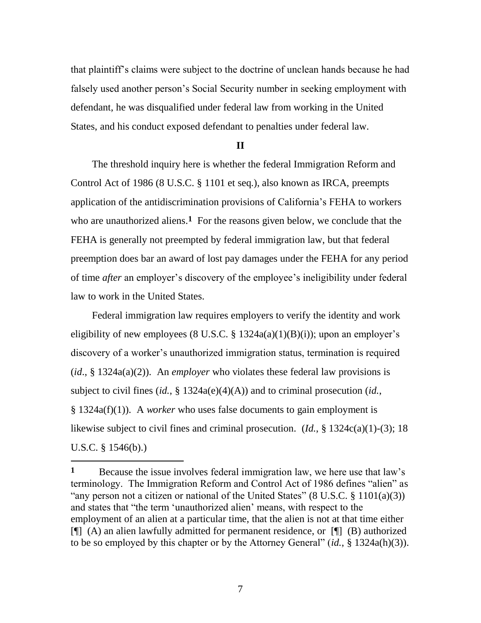that plaintiff"s claims were subject to the doctrine of unclean hands because he had falsely used another person"s Social Security number in seeking employment with defendant, he was disqualified under federal law from working in the United States, and his conduct exposed defendant to penalties under federal law.

## **II**

The threshold inquiry here is whether the federal Immigration Reform and Control Act of 1986 (8 U.S.C. § 1101 et seq.), also known as IRCA, preempts application of the antidiscrimination provisions of California"s FEHA to workers who are unauthorized aliens.<sup>1</sup> For the reasons given below, we conclude that the FEHA is generally not preempted by federal immigration law, but that federal preemption does bar an award of lost pay damages under the FEHA for any period of time *after* an employer"s discovery of the employee"s ineligibility under federal law to work in the United States.

Federal immigration law requires employers to verify the identity and work eligibility of new employees (8 U.S.C.  $\S$  1324a(a)(1)(B)(i)); upon an employer's discovery of a worker"s unauthorized immigration status, termination is required (*id*., § 1324a(a)(2)). An *employer* who violates these federal law provisions is subject to civil fines (*id.*, § 1324a(e)(4)(A)) and to criminal prosecution (*id.*, § 1324a(f)(1)). A *worker* who uses false documents to gain employment is likewise subject to civil fines and criminal prosecution. (*Id.*, § 1324c(a)(1)-(3); 18 U.S.C. § 1546(b).)

 $\overline{a}$ 

**<sup>1</sup>** Because the issue involves federal immigration law, we here use that law"s terminology. The Immigration Reform and Control Act of 1986 defines "alien" as "any person not a citizen or national of the United States"  $(8 \text{ U.S.C. } 8 \text{ 1101(a)(3)})$ and states that "the term "unauthorized alien" means, with respect to the employment of an alien at a particular time, that the alien is not at that time either [¶] (A) an alien lawfully admitted for permanent residence, or [¶] (B) authorized to be so employed by this chapter or by the Attorney General" (*id.*, § 1324a(h)(3)).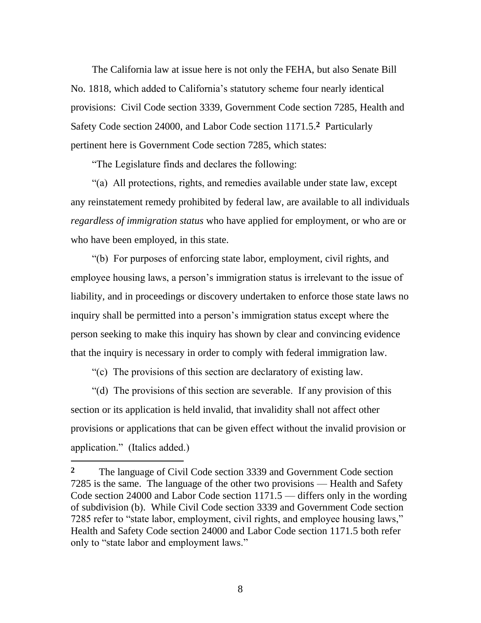The California law at issue here is not only the FEHA, but also Senate Bill No. 1818, which added to California"s statutory scheme four nearly identical provisions: Civil Code section 3339, Government Code section 7285, Health and Safety Code section 24000, and Labor Code section 1171.5. **2** Particularly pertinent here is Government Code section 7285, which states:

"The Legislature finds and declares the following:

"(a) All protections, rights, and remedies available under state law, except any reinstatement remedy prohibited by federal law, are available to all individuals *regardless of immigration status* who have applied for employment, or who are or who have been employed, in this state.

"(b) For purposes of enforcing state labor, employment, civil rights, and employee housing laws, a person's immigration status is irrelevant to the issue of liability, and in proceedings or discovery undertaken to enforce those state laws no inquiry shall be permitted into a person"s immigration status except where the person seeking to make this inquiry has shown by clear and convincing evidence that the inquiry is necessary in order to comply with federal immigration law.

"(c) The provisions of this section are declaratory of existing law.

 $\overline{a}$ 

"(d) The provisions of this section are severable. If any provision of this section or its application is held invalid, that invalidity shall not affect other provisions or applications that can be given effect without the invalid provision or application." (Italics added.)

**<sup>2</sup>** The language of Civil Code section 3339 and Government Code section 7285 is the same. The language of the other two provisions — Health and Safety Code section 24000 and Labor Code section 1171.5 — differs only in the wording of subdivision (b). While Civil Code section 3339 and Government Code section 7285 refer to "state labor, employment, civil rights, and employee housing laws," Health and Safety Code section 24000 and Labor Code section 1171.5 both refer only to "state labor and employment laws."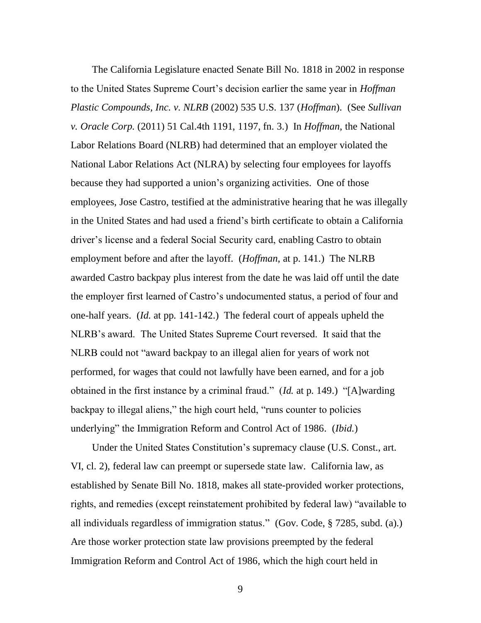The California Legislature enacted Senate Bill No. 1818 in 2002 in response to the United States Supreme Court"s decision earlier the same year in *Hoffman Plastic Compounds, Inc. v. NLRB* (2002) 535 U.S. 137 (*Hoffman*). (See *Sullivan v. Oracle Corp.* (2011) 51 Cal.4th 1191, 1197, fn. 3.) In *Hoffman*, the National Labor Relations Board (NLRB) had determined that an employer violated the National Labor Relations Act (NLRA) by selecting four employees for layoffs because they had supported a union"s organizing activities. One of those employees, Jose Castro, testified at the administrative hearing that he was illegally in the United States and had used a friend"s birth certificate to obtain a California driver"s license and a federal Social Security card, enabling Castro to obtain employment before and after the layoff. (*Hoffman*, at p. 141.) The NLRB awarded Castro backpay plus interest from the date he was laid off until the date the employer first learned of Castro"s undocumented status, a period of four and one-half years. (*Id.* at pp. 141-142.) The federal court of appeals upheld the NLRB"s award. The United States Supreme Court reversed. It said that the NLRB could not "award backpay to an illegal alien for years of work not performed, for wages that could not lawfully have been earned, and for a job obtained in the first instance by a criminal fraud." (*Id.* at p. 149.) "[A]warding backpay to illegal aliens," the high court held, "runs counter to policies underlying" the Immigration Reform and Control Act of 1986. (*Ibid.*)

Under the United States Constitution"s supremacy clause (U.S. Const., art. VI, cl. 2), federal law can preempt or supersede state law. California law, as established by Senate Bill No. 1818, makes all state-provided worker protections, rights, and remedies (except reinstatement prohibited by federal law) "available to all individuals regardless of immigration status." (Gov. Code, § 7285, subd. (a).) Are those worker protection state law provisions preempted by the federal Immigration Reform and Control Act of 1986, which the high court held in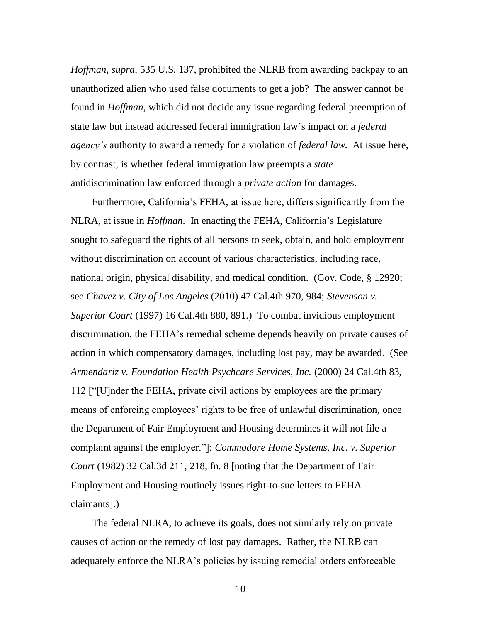*Hoffman*, *supra*, 535 U.S. 137, prohibited the NLRB from awarding backpay to an unauthorized alien who used false documents to get a job? The answer cannot be found in *Hoffman*, which did not decide any issue regarding federal preemption of state law but instead addressed federal immigration law"s impact on a *federal agency's* authority to award a remedy for a violation of *federal law*. At issue here, by contrast, is whether federal immigration law preempts a *state* antidiscrimination law enforced through a *private action* for damages.

Furthermore, California"s FEHA, at issue here, differs significantly from the NLRA, at issue in *Hoffman*. In enacting the FEHA, California"s Legislature sought to safeguard the rights of all persons to seek, obtain, and hold employment without discrimination on account of various characteristics, including race, national origin, physical disability, and medical condition. (Gov. Code, § 12920; see *Chavez v. City of Los Angeles* (2010) 47 Cal.4th 970, 984; *Stevenson v. Superior Court* (1997) 16 Cal.4th 880, 891.) To combat invidious employment discrimination, the FEHA"s remedial scheme depends heavily on private causes of action in which compensatory damages, including lost pay, may be awarded. (See *Armendariz v. Foundation Health Psychcare Services, Inc.* (2000) 24 Cal.4th 83, 112 ["[U]nder the FEHA, private civil actions by employees are the primary means of enforcing employees' rights to be free of unlawful discrimination, once the Department of Fair Employment and Housing determines it will not file a complaint against the employer."]; *Commodore Home Systems, Inc. v. Superior Court* (1982) 32 Cal.3d 211, 218, fn. 8 [noting that the Department of Fair Employment and Housing routinely issues right-to-sue letters to FEHA claimants].)

The federal NLRA, to achieve its goals, does not similarly rely on private causes of action or the remedy of lost pay damages. Rather, the NLRB can adequately enforce the NLRA"s policies by issuing remedial orders enforceable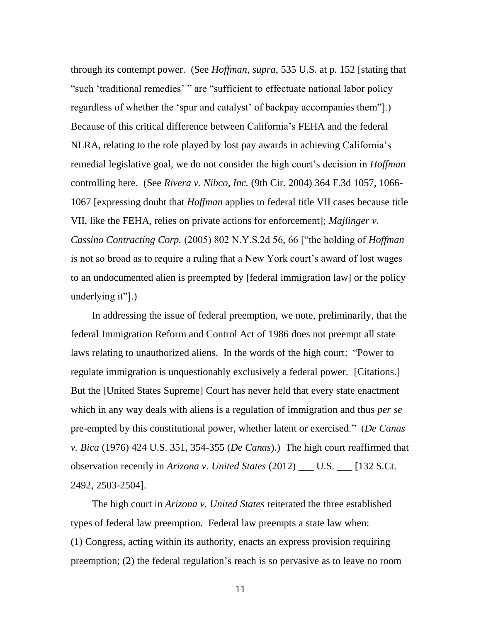through its contempt power. (See *Hoffman*, *supra*, 535 U.S. at p. 152 [stating that "such 'traditional remedies' " are "sufficient to effectuate national labor policy regardless of whether the "spur and catalyst" of backpay accompanies them"].) Because of this critical difference between California"s FEHA and the federal NLRA, relating to the role played by lost pay awards in achieving California"s remedial legislative goal, we do not consider the high court"s decision in *Hoffman*  controlling here. (See *Rivera v. Nibco, Inc.* (9th Cir. 2004) 364 F.3d 1057, 1066- 1067 [expressing doubt that *Hoffman* applies to federal title VII cases because title VII, like the FEHA, relies on private actions for enforcement]; *Majlinger v. Cassino Contracting Corp.* (2005) 802 N.Y.S.2d 56, 66 ["the holding of *Hoffman*  is not so broad as to require a ruling that a New York court's award of lost wages to an undocumented alien is preempted by [federal immigration law] or the policy underlying it"].)

In addressing the issue of federal preemption, we note, preliminarily, that the federal Immigration Reform and Control Act of 1986 does not preempt all state laws relating to unauthorized aliens. In the words of the high court: "Power to regulate immigration is unquestionably exclusively a federal power. [Citations.] But the [United States Supreme] Court has never held that every state enactment which in any way deals with aliens is a regulation of immigration and thus *per se* pre-empted by this constitutional power, whether latent or exercised." (*De Canas v. Bica* (1976) 424 U.S. 351, 354-355 (*De Canas*).) The high court reaffirmed that observation recently in *Arizona v. United States* (2012) \_\_\_ U.S. \_\_\_ [132 S.Ct. 2492, 2503-2504].

The high court in *Arizona v. United States* reiterated the three established types of federal law preemption. Federal law preempts a state law when: (1) Congress, acting within its authority, enacts an express provision requiring preemption; (2) the federal regulation"s reach is so pervasive as to leave no room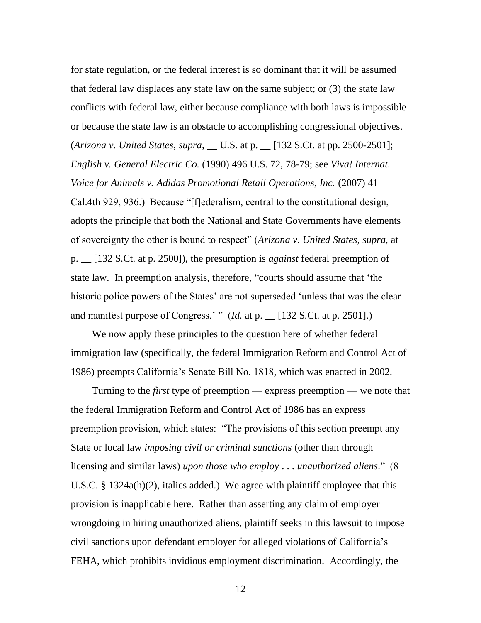for state regulation, or the federal interest is so dominant that it will be assumed that federal law displaces any state law on the same subject; or (3) the state law conflicts with federal law, either because compliance with both laws is impossible or because the state law is an obstacle to accomplishing congressional objectives. (*Arizona v. United States*, *supra*, \_\_ U.S. at p. \_\_ [132 S.Ct. at pp. 2500-2501]; *English v. General Electric Co.* (1990) 496 U.S. 72, 78-79; see *Viva! Internat. Voice for Animals v. Adidas Promotional Retail Operations, Inc.* (2007) 41 Cal.4th 929, 936.) Because "[f]ederalism, central to the constitutional design, adopts the principle that both the National and State Governments have elements of sovereignty the other is bound to respect" (*Arizona v. United States*, *supra*, at p. \_\_ [132 S.Ct. at p. 2500]), the presumption is *against* federal preemption of state law. In preemption analysis, therefore, "courts should assume that "the historic police powers of the States' are not superseded 'unless that was the clear and manifest purpose of Congress.' " (*Id.* at p.  $\angle$  [132 S.Ct. at p. 2501].)

We now apply these principles to the question here of whether federal immigration law (specifically, the federal Immigration Reform and Control Act of 1986) preempts California"s Senate Bill No. 1818, which was enacted in 2002.

Turning to the *first* type of preemption — express preemption — we note that the federal Immigration Reform and Control Act of 1986 has an express preemption provision, which states: "The provisions of this section preempt any State or local law *imposing civil or criminal sanctions* (other than through licensing and similar laws) *upon those who employ* . . . *unauthorized aliens*." (8 U.S.C. § 1324a(h)(2), italics added.) We agree with plaintiff employee that this provision is inapplicable here. Rather than asserting any claim of employer wrongdoing in hiring unauthorized aliens, plaintiff seeks in this lawsuit to impose civil sanctions upon defendant employer for alleged violations of California"s FEHA, which prohibits invidious employment discrimination. Accordingly, the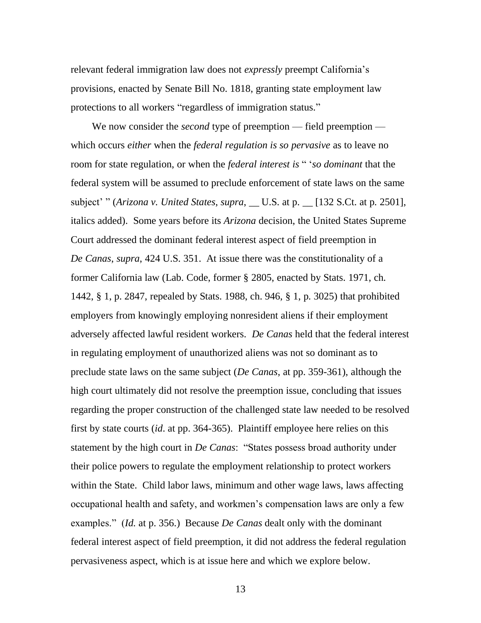relevant federal immigration law does not *expressly* preempt California"s provisions, enacted by Senate Bill No. 1818, granting state employment law protections to all workers "regardless of immigration status."

We now consider the *second* type of preemption — field preemption which occurs *either* when the *federal regulation is so pervasive* as to leave no room for state regulation, or when the *federal interest is* " "*so dominant* that the federal system will be assumed to preclude enforcement of state laws on the same subject" " (*Arizona v. United States*, *supra*, \_\_ U.S. at p. \_\_ [132 S.Ct. at p. 2501], italics added). Some years before its *Arizona* decision, the United States Supreme Court addressed the dominant federal interest aspect of field preemption in *De Canas*, *supra*, 424 U.S. 351. At issue there was the constitutionality of a former California law (Lab. Code, former § 2805, enacted by Stats. 1971, ch. 1442, § 1, p. 2847, repealed by Stats. 1988, ch. 946, § 1, p. 3025) that prohibited employers from knowingly employing nonresident aliens if their employment adversely affected lawful resident workers. *De Canas* held that the federal interest in regulating employment of unauthorized aliens was not so dominant as to preclude state laws on the same subject (*De Canas*, at pp. 359-361), although the high court ultimately did not resolve the preemption issue, concluding that issues regarding the proper construction of the challenged state law needed to be resolved first by state courts (*id*. at pp. 364-365). Plaintiff employee here relies on this statement by the high court in *De Canas*: "States possess broad authority under their police powers to regulate the employment relationship to protect workers within the State. Child labor laws, minimum and other wage laws, laws affecting occupational health and safety, and workmen"s compensation laws are only a few examples." (*Id.* at p. 356.) Because *De Canas* dealt only with the dominant federal interest aspect of field preemption, it did not address the federal regulation pervasiveness aspect, which is at issue here and which we explore below.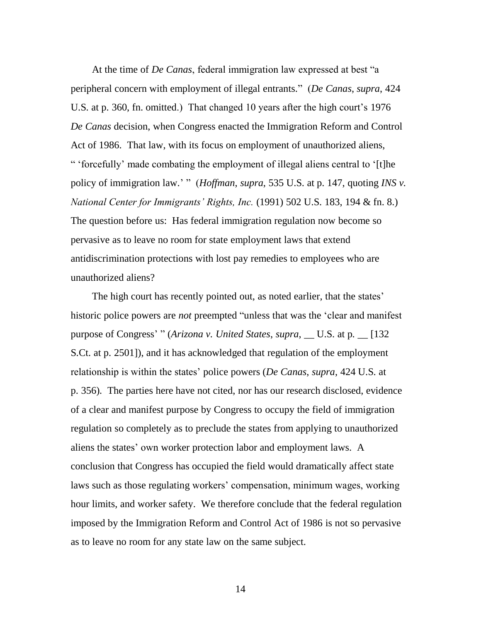At the time of *De Canas*, federal immigration law expressed at best "a peripheral concern with employment of illegal entrants." (*De Canas*, *supra*, 424 U.S. at p. 360, fn. omitted.) That changed 10 years after the high court's 1976 *De Canas* decision, when Congress enacted the Immigration Reform and Control Act of 1986. That law, with its focus on employment of unauthorized aliens, " "forcefully" made combating the employment of illegal aliens central to "[t]he policy of immigration law." " (*Hoffman*, *supra*, 535 U.S. at p. 147, quoting *INS v. National Center for Immigrants' Rights, Inc.* (1991) 502 U.S. 183, 194 & fn. 8.) The question before us: Has federal immigration regulation now become so pervasive as to leave no room for state employment laws that extend antidiscrimination protections with lost pay remedies to employees who are unauthorized aliens?

The high court has recently pointed out, as noted earlier, that the states' historic police powers are *not* preempted "unless that was the "clear and manifest purpose of Congress" " (*Arizona v. United States*, *supra*, \_\_ U.S. at p. \_\_ [132 S.Ct. at p. 2501]), and it has acknowledged that regulation of the employment relationship is within the states" police powers (*De Canas*, *supra*, 424 U.S. at p. 356)*.* The parties here have not cited, nor has our research disclosed, evidence of a clear and manifest purpose by Congress to occupy the field of immigration regulation so completely as to preclude the states from applying to unauthorized aliens the states" own worker protection labor and employment laws. A conclusion that Congress has occupied the field would dramatically affect state laws such as those regulating workers' compensation, minimum wages, working hour limits, and worker safety. We therefore conclude that the federal regulation imposed by the Immigration Reform and Control Act of 1986 is not so pervasive as to leave no room for any state law on the same subject.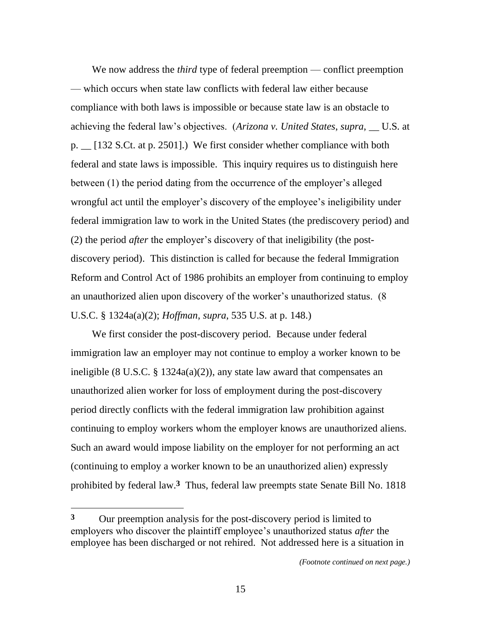We now address the *third* type of federal preemption — conflict preemption — which occurs when state law conflicts with federal law either because compliance with both laws is impossible or because state law is an obstacle to achieving the federal law"s objectives. (*Arizona v. United States*, *supra*, \_\_ U.S. at p.  $\lfloor$  [132 S.Ct. at p. 2501].) We first consider whether compliance with both federal and state laws is impossible. This inquiry requires us to distinguish here between (1) the period dating from the occurrence of the employer's alleged wrongful act until the employer's discovery of the employee's ineligibility under federal immigration law to work in the United States (the prediscovery period) and (2) the period *after* the employer"s discovery of that ineligibility (the postdiscovery period). This distinction is called for because the federal Immigration Reform and Control Act of 1986 prohibits an employer from continuing to employ an unauthorized alien upon discovery of the worker"s unauthorized status. (8 U.S.C. § 1324a(a)(2); *Hoffman*, *supra*, 535 U.S. at p. 148.)

We first consider the post-discovery period. Because under federal immigration law an employer may not continue to employ a worker known to be ineligible (8 U.S.C.  $\S$  1324a(a)(2)), any state law award that compensates an unauthorized alien worker for loss of employment during the post-discovery period directly conflicts with the federal immigration law prohibition against continuing to employ workers whom the employer knows are unauthorized aliens. Such an award would impose liability on the employer for not performing an act (continuing to employ a worker known to be an unauthorized alien) expressly prohibited by federal law.**3** Thus, federal law preempts state Senate Bill No. 1818

**<sup>3</sup>** Our preemption analysis for the post-discovery period is limited to employers who discover the plaintiff employee"s unauthorized status *after* the employee has been discharged or not rehired. Not addressed here is a situation in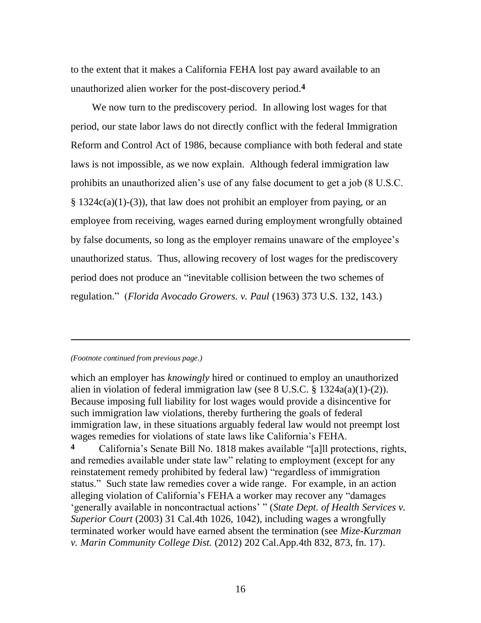to the extent that it makes a California FEHA lost pay award available to an unauthorized alien worker for the post-discovery period. **4**

We now turn to the prediscovery period. In allowing lost wages for that period, our state labor laws do not directly conflict with the federal Immigration Reform and Control Act of 1986, because compliance with both federal and state laws is not impossible, as we now explain. Although federal immigration law prohibits an unauthorized alien"s use of any false document to get a job (8 U.S.C.  $\S$  1324c(a)(1)-(3)), that law does not prohibit an employer from paying, or an employee from receiving, wages earned during employment wrongfully obtained by false documents, so long as the employer remains unaware of the employee"s unauthorized status. Thus, allowing recovery of lost wages for the prediscovery period does not produce an "inevitable collision between the two schemes of regulation." (*Florida Avocado Growers. v. Paul* (1963) 373 U.S. 132, 143.)

### *(Footnote continued from previous page.)*

 $\overline{a}$ 

which an employer has *knowingly* hired or continued to employ an unauthorized alien in violation of federal immigration law (see 8 U.S.C. § 1324a(a)(1)-(2)). Because imposing full liability for lost wages would provide a disincentive for such immigration law violations, thereby furthering the goals of federal immigration law, in these situations arguably federal law would not preempt lost wages remedies for violations of state laws like California"s FEHA.

**4** California"s Senate Bill No. 1818 makes available "[a]ll protections, rights, and remedies available under state law" relating to employment (except for any reinstatement remedy prohibited by federal law) "regardless of immigration status." Such state law remedies cover a wide range. For example, in an action alleging violation of California"s FEHA a worker may recover any "damages "generally available in noncontractual actions" " (*State Dept. of Health Services v. Superior Court* (2003) 31 Cal.4th 1026, 1042), including wages a wrongfully terminated worker would have earned absent the termination (see *Mize-Kurzman v. Marin Community College Dist.* (2012) 202 Cal.App.4th 832, 873, fn. 17).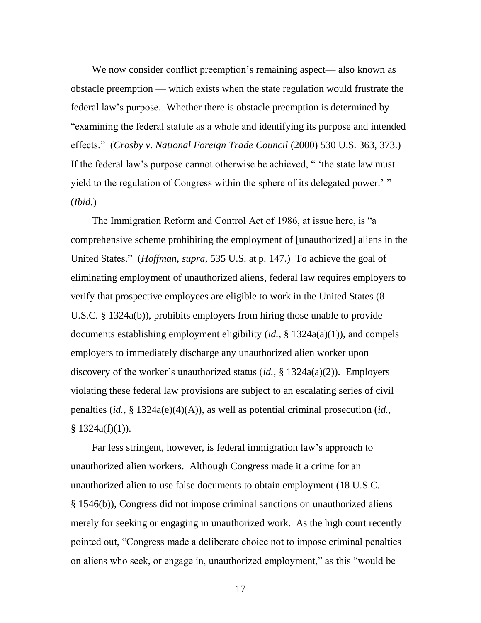We now consider conflict preemption's remaining aspect— also known as obstacle preemption — which exists when the state regulation would frustrate the federal law"s purpose. Whether there is obstacle preemption is determined by "examining the federal statute as a whole and identifying its purpose and intended effects." (*Crosby v. National Foreign Trade Council* (2000) 530 U.S. 363, 373.) If the federal law's purpose cannot otherwise be achieved, " 'the state law must yield to the regulation of Congress within the sphere of its delegated power.'" (*Ibid.*)

The Immigration Reform and Control Act of 1986, at issue here, is "a comprehensive scheme prohibiting the employment of [unauthorized] aliens in the United States." (*Hoffman*, *supra*, 535 U.S. at p. 147.) To achieve the goal of eliminating employment of unauthorized aliens, federal law requires employers to verify that prospective employees are eligible to work in the United States (8 U.S.C. § 1324a(b)), prohibits employers from hiring those unable to provide documents establishing employment eligibility (*id.*, § 1324a(a)(1)), and compels employers to immediately discharge any unauthorized alien worker upon discovery of the worker"s unauthorized status (*id.*, § 1324a(a)(2)). Employers violating these federal law provisions are subject to an escalating series of civil penalties (*id.*, § 1324a(e)(4)(A)), as well as potential criminal prosecution (*id.*,  $§ 1324a(f)(1)).$ 

Far less stringent, however, is federal immigration law"s approach to unauthorized alien workers. Although Congress made it a crime for an unauthorized alien to use false documents to obtain employment (18 U.S.C. § 1546(b)), Congress did not impose criminal sanctions on unauthorized aliens merely for seeking or engaging in unauthorized work. As the high court recently pointed out, "Congress made a deliberate choice not to impose criminal penalties on aliens who seek, or engage in, unauthorized employment," as this "would be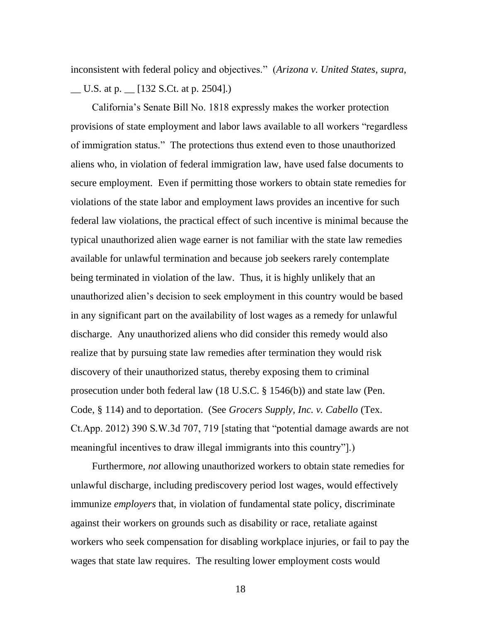inconsistent with federal policy and objectives." (*Arizona v. United States*, *supra*,  $\underline{\hspace{1cm}}$  U.S. at p.  $\underline{\hspace{1cm}}$  [132 S.Ct. at p. 2504].)

California"s Senate Bill No. 1818 expressly makes the worker protection provisions of state employment and labor laws available to all workers "regardless of immigration status." The protections thus extend even to those unauthorized aliens who, in violation of federal immigration law, have used false documents to secure employment. Even if permitting those workers to obtain state remedies for violations of the state labor and employment laws provides an incentive for such federal law violations, the practical effect of such incentive is minimal because the typical unauthorized alien wage earner is not familiar with the state law remedies available for unlawful termination and because job seekers rarely contemplate being terminated in violation of the law. Thus, it is highly unlikely that an unauthorized alien"s decision to seek employment in this country would be based in any significant part on the availability of lost wages as a remedy for unlawful discharge. Any unauthorized aliens who did consider this remedy would also realize that by pursuing state law remedies after termination they would risk discovery of their unauthorized status, thereby exposing them to criminal prosecution under both federal law (18 U.S.C. § 1546(b)) and state law (Pen. Code, § 114) and to deportation. (See *Grocers Supply, Inc. v. Cabello* (Tex. Ct.App. 2012) 390 S.W.3d 707, 719 [stating that "potential damage awards are not meaningful incentives to draw illegal immigrants into this country"].)

Furthermore, *not* allowing unauthorized workers to obtain state remedies for unlawful discharge, including prediscovery period lost wages, would effectively immunize *employers* that, in violation of fundamental state policy, discriminate against their workers on grounds such as disability or race, retaliate against workers who seek compensation for disabling workplace injuries, or fail to pay the wages that state law requires. The resulting lower employment costs would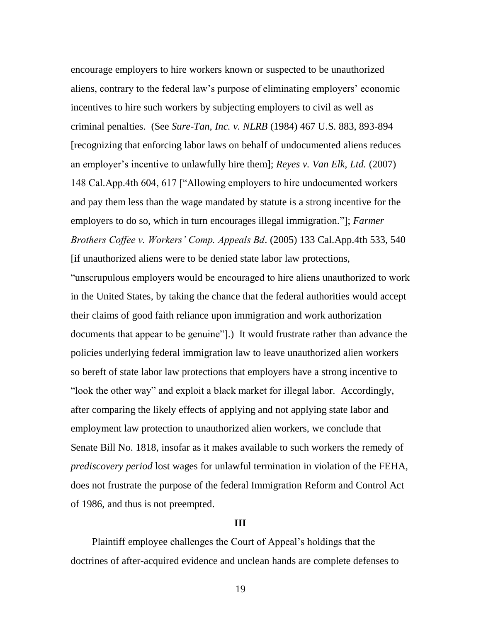encourage employers to hire workers known or suspected to be unauthorized aliens, contrary to the federal law's purpose of eliminating employers' economic incentives to hire such workers by subjecting employers to civil as well as criminal penalties. (See *Sure-Tan, Inc. v. NLRB* (1984) 467 U.S. 883, 893-894 [recognizing that enforcing labor laws on behalf of undocumented aliens reduces an employer"s incentive to unlawfully hire them]; *Reyes v. Van Elk, Ltd.* (2007) 148 Cal.App.4th 604, 617 ["Allowing employers to hire undocumented workers and pay them less than the wage mandated by statute is a strong incentive for the employers to do so, which in turn encourages illegal immigration."]; *Farmer Brothers Coffee v. Workers' Comp. Appeals Bd*. (2005) 133 Cal.App.4th 533, 540 [if unauthorized aliens were to be denied state labor law protections,

"unscrupulous employers would be encouraged to hire aliens unauthorized to work in the United States, by taking the chance that the federal authorities would accept their claims of good faith reliance upon immigration and work authorization documents that appear to be genuine"].) It would frustrate rather than advance the policies underlying federal immigration law to leave unauthorized alien workers so bereft of state labor law protections that employers have a strong incentive to "look the other way" and exploit a black market for illegal labor. Accordingly, after comparing the likely effects of applying and not applying state labor and employment law protection to unauthorized alien workers, we conclude that Senate Bill No. 1818, insofar as it makes available to such workers the remedy of *prediscovery period* lost wages for unlawful termination in violation of the FEHA, does not frustrate the purpose of the federal Immigration Reform and Control Act of 1986, and thus is not preempted.

## **III**

Plaintiff employee challenges the Court of Appeal"s holdings that the doctrines of after-acquired evidence and unclean hands are complete defenses to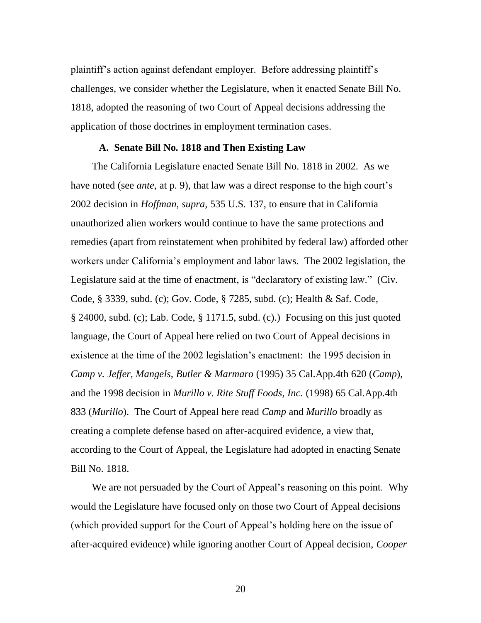plaintiff"s action against defendant employer. Before addressing plaintiff"s challenges, we consider whether the Legislature, when it enacted Senate Bill No. 1818, adopted the reasoning of two Court of Appeal decisions addressing the application of those doctrines in employment termination cases.

## **A. Senate Bill No. 1818 and Then Existing Law**

The California Legislature enacted Senate Bill No. 1818 in 2002. As we have noted (see *ante*, at p. 9), that law was a direct response to the high court's 2002 decision in *Hoffman*, *supra*, 535 U.S. 137, to ensure that in California unauthorized alien workers would continue to have the same protections and remedies (apart from reinstatement when prohibited by federal law) afforded other workers under California"s employment and labor laws. The 2002 legislation, the Legislature said at the time of enactment, is "declaratory of existing law." (Civ. Code, § 3339, subd. (c); Gov. Code, § 7285, subd. (c); Health & Saf. Code, § 24000, subd. (c); Lab. Code, § 1171.5, subd. (c).) Focusing on this just quoted language, the Court of Appeal here relied on two Court of Appeal decisions in existence at the time of the 2002 legislation"s enactment: the 1995 decision in *Camp v. Jeffer, Mangels, Butler & Marmaro* (1995) 35 Cal.App.4th 620 (*Camp*), and the 1998 decision in *Murillo v. Rite Stuff Foods, Inc.* (1998) 65 Cal.App.4th 833 (*Murillo*). The Court of Appeal here read *Camp* and *Murillo* broadly as creating a complete defense based on after-acquired evidence, a view that, according to the Court of Appeal, the Legislature had adopted in enacting Senate Bill No. 1818.

We are not persuaded by the Court of Appeal's reasoning on this point. Why would the Legislature have focused only on those two Court of Appeal decisions (which provided support for the Court of Appeal"s holding here on the issue of after-acquired evidence) while ignoring another Court of Appeal decision, *Cooper*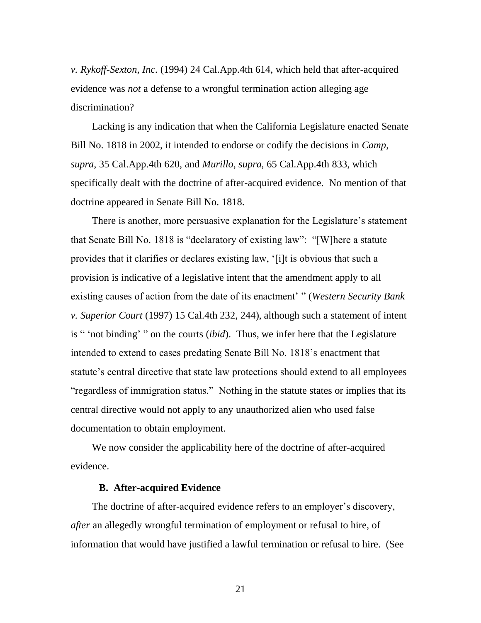*v. Rykoff-Sexton, Inc.* (1994) 24 Cal.App.4th 614, which held that after-acquired evidence was *not* a defense to a wrongful termination action alleging age discrimination?

Lacking is any indication that when the California Legislature enacted Senate Bill No. 1818 in 2002, it intended to endorse or codify the decisions in *Camp*, *supra*, 35 Cal.App.4th 620, and *Murillo*, *supra*, 65 Cal.App.4th 833, which specifically dealt with the doctrine of after-acquired evidence. No mention of that doctrine appeared in Senate Bill No. 1818.

There is another, more persuasive explanation for the Legislature's statement that Senate Bill No. 1818 is "declaratory of existing law": "[W]here a statute provides that it clarifies or declares existing law, "[i]t is obvious that such a provision is indicative of a legislative intent that the amendment apply to all existing causes of action from the date of its enactment" " (*Western Security Bank v. Superior Court* (1997) 15 Cal.4th 232, 244), although such a statement of intent is " "not binding" " on the courts (*ibid*). Thus, we infer here that the Legislature intended to extend to cases predating Senate Bill No. 1818"s enactment that statute's central directive that state law protections should extend to all employees "regardless of immigration status." Nothing in the statute states or implies that its central directive would not apply to any unauthorized alien who used false documentation to obtain employment.

We now consider the applicability here of the doctrine of after-acquired evidence.

## **B. After-acquired Evidence**

The doctrine of after-acquired evidence refers to an employer's discovery, *after* an allegedly wrongful termination of employment or refusal to hire, of information that would have justified a lawful termination or refusal to hire. (See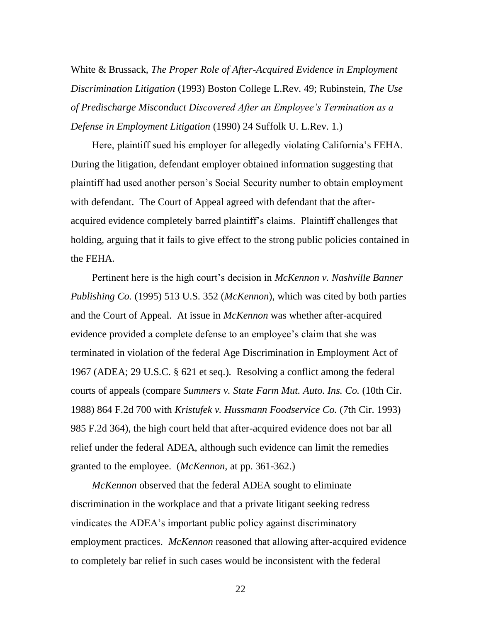White & Brussack, *The Proper Role of After-Acquired Evidence in Employment Discrimination Litigation* (1993) Boston College L.Rev. 49; Rubinstein, *The Use of Predischarge Misconduct Discovered After an Employee's Termination as a Defense in Employment Litigation* (1990) 24 Suffolk U. L.Rev. 1.)

Here, plaintiff sued his employer for allegedly violating California"s FEHA. During the litigation, defendant employer obtained information suggesting that plaintiff had used another person"s Social Security number to obtain employment with defendant. The Court of Appeal agreed with defendant that the afteracquired evidence completely barred plaintiff"s claims. Plaintiff challenges that holding, arguing that it fails to give effect to the strong public policies contained in the FEHA.

Pertinent here is the high court's decision in *McKennon v. Nashville Banner Publishing Co.* (1995) 513 U.S. 352 (*McKennon*), which was cited by both parties and the Court of Appeal. At issue in *McKennon* was whether after-acquired evidence provided a complete defense to an employee"s claim that she was terminated in violation of the federal Age Discrimination in Employment Act of 1967 (ADEA; 29 U.S.C. § 621 et seq.). Resolving a conflict among the federal courts of appeals (compare *Summers v. State Farm Mut. Auto. Ins. Co.* (10th Cir. 1988) 864 F.2d 700 with *Kristufek v. Hussmann Foodservice Co.* (7th Cir. 1993) 985 F.2d 364), the high court held that after-acquired evidence does not bar all relief under the federal ADEA, although such evidence can limit the remedies granted to the employee. (*McKennon*, at pp. 361-362.)

*McKennon* observed that the federal ADEA sought to eliminate discrimination in the workplace and that a private litigant seeking redress vindicates the ADEA"s important public policy against discriminatory employment practices. *McKennon* reasoned that allowing after-acquired evidence to completely bar relief in such cases would be inconsistent with the federal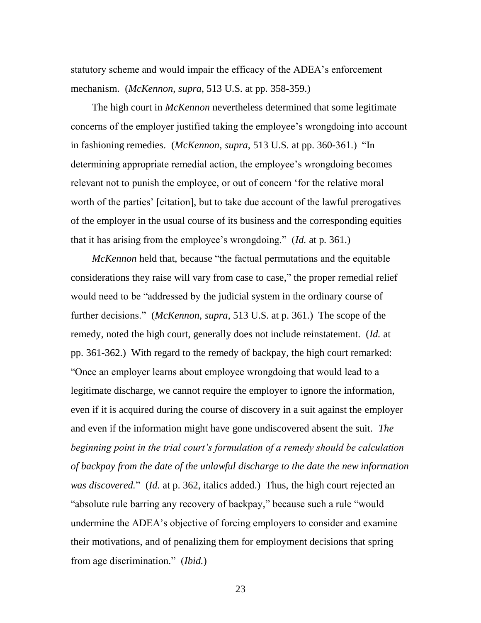statutory scheme and would impair the efficacy of the ADEA"s enforcement mechanism. (*McKennon*, *supra*, 513 U.S. at pp. 358-359.)

The high court in *McKennon* nevertheless determined that some legitimate concerns of the employer justified taking the employee"s wrongdoing into account in fashioning remedies. (*McKennon*, *supra*, 513 U.S. at pp. 360-361.) "In determining appropriate remedial action, the employee's wrongdoing becomes relevant not to punish the employee, or out of concern "for the relative moral worth of the parties' [citation], but to take due account of the lawful prerogatives of the employer in the usual course of its business and the corresponding equities that it has arising from the employee"s wrongdoing." (*Id.* at p. 361.)

*McKennon* held that, because "the factual permutations and the equitable considerations they raise will vary from case to case," the proper remedial relief would need to be "addressed by the judicial system in the ordinary course of further decisions." (*McKennon*, *supra*, 513 U.S. at p. 361.) The scope of the remedy, noted the high court, generally does not include reinstatement. (*Id.* at pp. 361-362.) With regard to the remedy of backpay, the high court remarked: "Once an employer learns about employee wrongdoing that would lead to a legitimate discharge, we cannot require the employer to ignore the information, even if it is acquired during the course of discovery in a suit against the employer and even if the information might have gone undiscovered absent the suit. *The beginning point in the trial court's formulation of a remedy should be calculation of backpay from the date of the unlawful discharge to the date the new information was discovered.*" (*Id.* at p. 362, italics added.) Thus, the high court rejected an "absolute rule barring any recovery of backpay," because such a rule "would undermine the ADEA"s objective of forcing employers to consider and examine their motivations, and of penalizing them for employment decisions that spring from age discrimination." (*Ibid.*)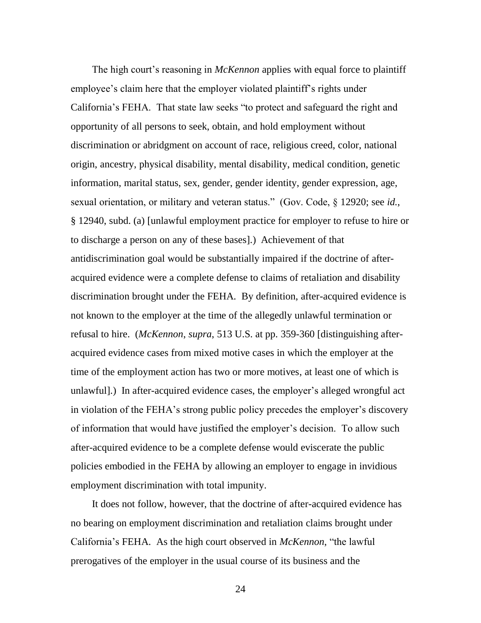The high court's reasoning in *McKennon* applies with equal force to plaintiff employee's claim here that the employer violated plaintiff's rights under California"s FEHA. That state law seeks "to protect and safeguard the right and opportunity of all persons to seek, obtain, and hold employment without discrimination or abridgment on account of race, religious creed, color, national origin, ancestry, physical disability, mental disability, medical condition, genetic information, marital status, sex, gender, gender identity, gender expression, age, sexual orientation, or military and veteran status." (Gov. Code, § 12920; see *id.*, § 12940, subd. (a) [unlawful employment practice for employer to refuse to hire or to discharge a person on any of these bases].) Achievement of that antidiscrimination goal would be substantially impaired if the doctrine of afteracquired evidence were a complete defense to claims of retaliation and disability discrimination brought under the FEHA. By definition, after-acquired evidence is not known to the employer at the time of the allegedly unlawful termination or refusal to hire. (*McKennon*, *supra*, 513 U.S. at pp. 359-360 [distinguishing afteracquired evidence cases from mixed motive cases in which the employer at the time of the employment action has two or more motives, at least one of which is unlawful].) In after-acquired evidence cases, the employer's alleged wrongful act in violation of the FEHA's strong public policy precedes the employer's discovery of information that would have justified the employer"s decision. To allow such after-acquired evidence to be a complete defense would eviscerate the public policies embodied in the FEHA by allowing an employer to engage in invidious employment discrimination with total impunity.

It does not follow, however, that the doctrine of after-acquired evidence has no bearing on employment discrimination and retaliation claims brought under California"s FEHA. As the high court observed in *McKennon*, "the lawful prerogatives of the employer in the usual course of its business and the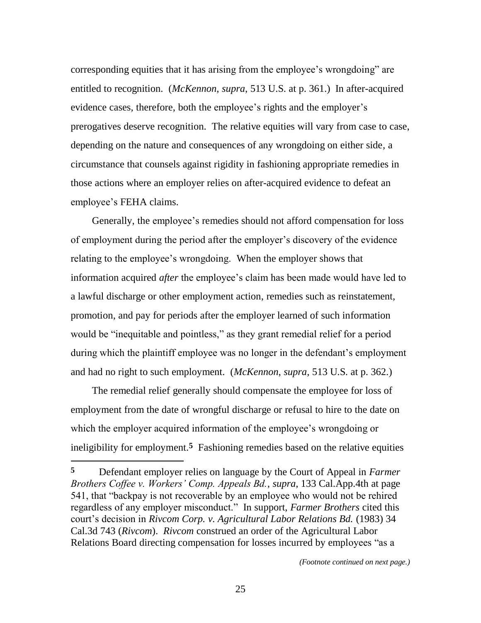corresponding equities that it has arising from the employee"s wrongdoing" are entitled to recognition. (*McKennon*, *supra*, 513 U.S. at p. 361.) In after-acquired evidence cases, therefore, both the employee's rights and the employer's prerogatives deserve recognition. The relative equities will vary from case to case, depending on the nature and consequences of any wrongdoing on either side, a circumstance that counsels against rigidity in fashioning appropriate remedies in those actions where an employer relies on after-acquired evidence to defeat an employee's FEHA claims.

Generally, the employee"s remedies should not afford compensation for loss of employment during the period after the employer"s discovery of the evidence relating to the employee"s wrongdoing. When the employer shows that information acquired *after* the employee's claim has been made would have led to a lawful discharge or other employment action, remedies such as reinstatement, promotion, and pay for periods after the employer learned of such information would be "inequitable and pointless," as they grant remedial relief for a period during which the plaintiff employee was no longer in the defendant's employment and had no right to such employment. (*McKennon*, *supra*, 513 U.S. at p. 362.)

The remedial relief generally should compensate the employee for loss of employment from the date of wrongful discharge or refusal to hire to the date on which the employer acquired information of the employee's wrongdoing or ineligibility for employment.**5** Fashioning remedies based on the relative equities

 $\overline{a}$ 

**<sup>5</sup>** Defendant employer relies on language by the Court of Appeal in *Farmer Brothers Coffee v. Workers' Comp. Appeals Bd.*, *supra*, 133 Cal.App.4th at page 541, that "backpay is not recoverable by an employee who would not be rehired regardless of any employer misconduct." In support, *Farmer Brothers* cited this court"s decision in *Rivcom Corp. v. Agricultural Labor Relations Bd.* (1983) 34 Cal.3d 743 (*Rivcom*). *Rivcom* construed an order of the Agricultural Labor Relations Board directing compensation for losses incurred by employees "as a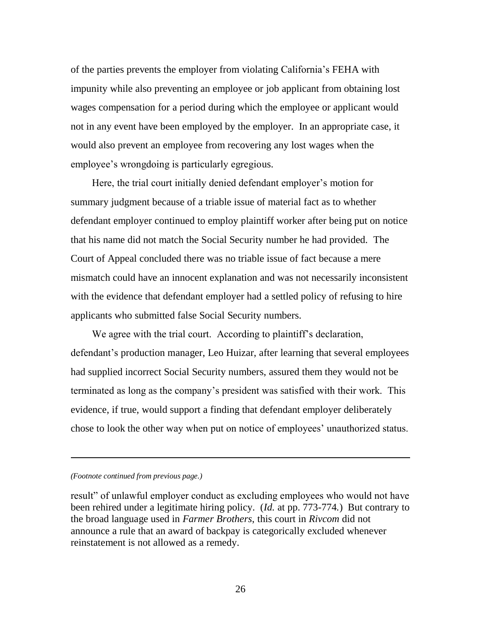of the parties prevents the employer from violating California"s FEHA with impunity while also preventing an employee or job applicant from obtaining lost wages compensation for a period during which the employee or applicant would not in any event have been employed by the employer. In an appropriate case, it would also prevent an employee from recovering any lost wages when the employee's wrongdoing is particularly egregious.

Here, the trial court initially denied defendant employer's motion for summary judgment because of a triable issue of material fact as to whether defendant employer continued to employ plaintiff worker after being put on notice that his name did not match the Social Security number he had provided. The Court of Appeal concluded there was no triable issue of fact because a mere mismatch could have an innocent explanation and was not necessarily inconsistent with the evidence that defendant employer had a settled policy of refusing to hire applicants who submitted false Social Security numbers.

We agree with the trial court. According to plaintiff's declaration, defendant"s production manager, Leo Huizar, after learning that several employees had supplied incorrect Social Security numbers, assured them they would not be terminated as long as the company"s president was satisfied with their work. This evidence, if true, would support a finding that defendant employer deliberately chose to look the other way when put on notice of employees" unauthorized status.

*(Footnote continued from previous page.)*

result" of unlawful employer conduct as excluding employees who would not have been rehired under a legitimate hiring policy. (*Id.* at pp. 773-774*.*) But contrary to the broad language used in *Farmer Brothers*, this court in *Rivcom* did not announce a rule that an award of backpay is categorically excluded whenever reinstatement is not allowed as a remedy.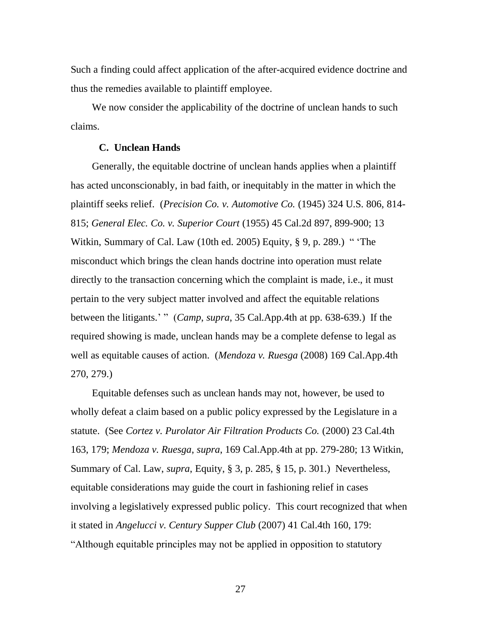Such a finding could affect application of the after-acquired evidence doctrine and thus the remedies available to plaintiff employee.

We now consider the applicability of the doctrine of unclean hands to such claims.

## **C. Unclean Hands**

Generally, the equitable doctrine of unclean hands applies when a plaintiff has acted unconscionably, in bad faith, or inequitably in the matter in which the plaintiff seeks relief. (*Precision Co. v. Automotive Co.* (1945) 324 U.S. 806, 814- 815; *General Elec. Co. v. Superior Court* (1955) 45 Cal.2d 897, 899-900; 13 Witkin, Summary of Cal. Law (10th ed. 2005) Equity, § 9, p. 289.) " "The misconduct which brings the clean hands doctrine into operation must relate directly to the transaction concerning which the complaint is made, i.e., it must pertain to the very subject matter involved and affect the equitable relations between the litigants." " (*Camp*, *supra*, 35 Cal.App.4th at pp. 638-639.) If the required showing is made, unclean hands may be a complete defense to legal as well as equitable causes of action. (*Mendoza v. Ruesga* (2008) 169 Cal.App.4th 270, 279.)

Equitable defenses such as unclean hands may not, however, be used to wholly defeat a claim based on a public policy expressed by the Legislature in a statute. (See *Cortez v. Purolator Air Filtration Products Co.* (2000) 23 Cal.4th 163, 179; *Mendoza v. Ruesga*, *supra*, 169 Cal.App.4th at pp. 279-280; 13 Witkin, Summary of Cal. Law, *supra*, Equity, § 3, p. 285, § 15, p. 301.) Nevertheless, equitable considerations may guide the court in fashioning relief in cases involving a legislatively expressed public policy. This court recognized that when it stated in *Angelucci v. Century Supper Club* (2007) 41 Cal.4th 160, 179: "Although equitable principles may not be applied in opposition to statutory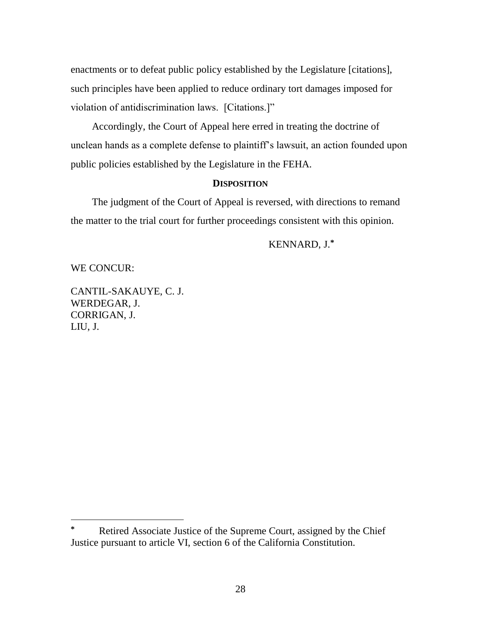enactments or to defeat public policy established by the Legislature [citations], such principles have been applied to reduce ordinary tort damages imposed for violation of antidiscrimination laws. [Citations.]"

Accordingly, the Court of Appeal here erred in treating the doctrine of unclean hands as a complete defense to plaintiff"s lawsuit, an action founded upon public policies established by the Legislature in the FEHA.

## **DISPOSITION**

The judgment of the Court of Appeal is reversed, with directions to remand the matter to the trial court for further proceedings consistent with this opinion.

## KENNARD, J.**\***

WE CONCUR:

 $\overline{a}$ 

CANTIL-SAKAUYE, C. J. WERDEGAR, J. CORRIGAN, J. LIU, J.

**<sup>\*</sup>** Retired Associate Justice of the Supreme Court, assigned by the Chief Justice pursuant to article VI, section 6 of the California Constitution.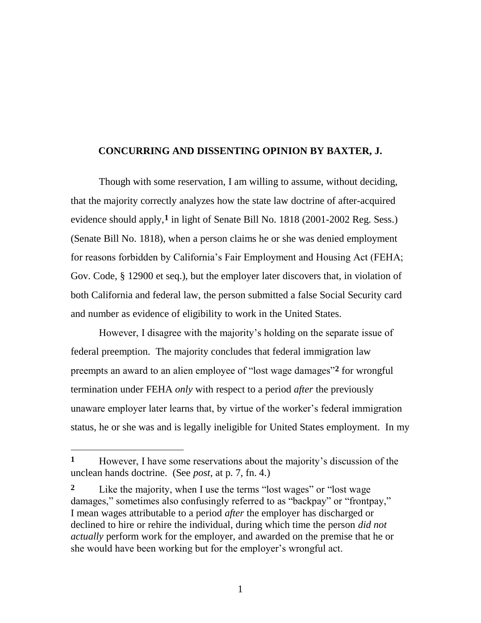## **CONCURRING AND DISSENTING OPINION BY BAXTER, J.**

Though with some reservation, I am willing to assume, without deciding, that the majority correctly analyzes how the state law doctrine of after-acquired evidence should apply,**1** in light of Senate Bill No. 1818 (2001-2002 Reg. Sess.) (Senate Bill No. 1818), when a person claims he or she was denied employment for reasons forbidden by California's Fair Employment and Housing Act (FEHA; Gov. Code, § 12900 et seq.), but the employer later discovers that, in violation of both California and federal law, the person submitted a false Social Security card and number as evidence of eligibility to work in the United States.

However, I disagree with the majority's holding on the separate issue of federal preemption. The majority concludes that federal immigration law preempts an award to an alien employee of "lost wage damages"**2** for wrongful termination under FEHA *only* with respect to a period *after* the previously unaware employer later learns that, by virtue of the worker"s federal immigration status, he or she was and is legally ineligible for United States employment. In my

 $\overline{a}$ 

**<sup>1</sup>** However, I have some reservations about the majority"s discussion of the unclean hands doctrine. (See *post*, at p. 7, fn. 4.)

**<sup>2</sup>** Like the majority, when I use the terms "lost wages" or "lost wage damages," sometimes also confusingly referred to as "backpay" or "frontpay," I mean wages attributable to a period *after* the employer has discharged or declined to hire or rehire the individual, during which time the person *did not actually* perform work for the employer, and awarded on the premise that he or she would have been working but for the employer's wrongful act.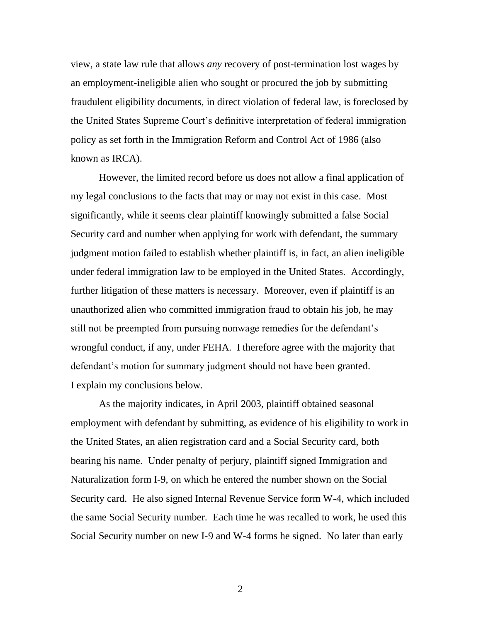view, a state law rule that allows *any* recovery of post-termination lost wages by an employment-ineligible alien who sought or procured the job by submitting fraudulent eligibility documents, in direct violation of federal law, is foreclosed by the United States Supreme Court"s definitive interpretation of federal immigration policy as set forth in the Immigration Reform and Control Act of 1986 (also known as IRCA).

However, the limited record before us does not allow a final application of my legal conclusions to the facts that may or may not exist in this case. Most significantly, while it seems clear plaintiff knowingly submitted a false Social Security card and number when applying for work with defendant, the summary judgment motion failed to establish whether plaintiff is, in fact, an alien ineligible under federal immigration law to be employed in the United States. Accordingly, further litigation of these matters is necessary. Moreover, even if plaintiff is an unauthorized alien who committed immigration fraud to obtain his job, he may still not be preempted from pursuing nonwage remedies for the defendant's wrongful conduct, if any, under FEHA. I therefore agree with the majority that defendant's motion for summary judgment should not have been granted. I explain my conclusions below.

As the majority indicates, in April 2003, plaintiff obtained seasonal employment with defendant by submitting, as evidence of his eligibility to work in the United States, an alien registration card and a Social Security card, both bearing his name. Under penalty of perjury, plaintiff signed Immigration and Naturalization form I-9, on which he entered the number shown on the Social Security card. He also signed Internal Revenue Service form W-4, which included the same Social Security number. Each time he was recalled to work, he used this Social Security number on new I-9 and W-4 forms he signed. No later than early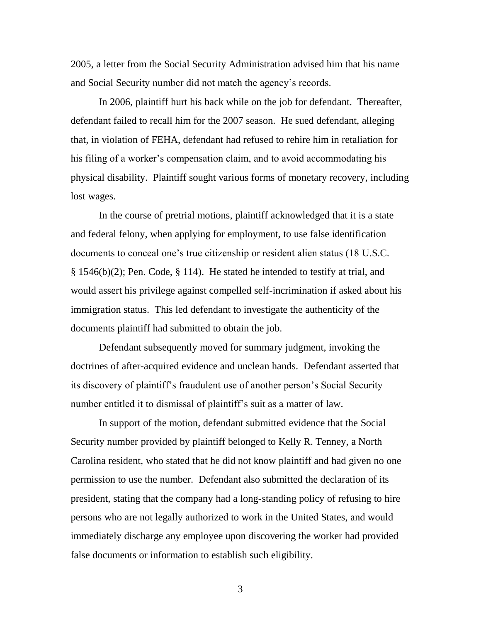2005, a letter from the Social Security Administration advised him that his name and Social Security number did not match the agency"s records.

In 2006, plaintiff hurt his back while on the job for defendant. Thereafter, defendant failed to recall him for the 2007 season. He sued defendant, alleging that, in violation of FEHA, defendant had refused to rehire him in retaliation for his filing of a worker's compensation claim, and to avoid accommodating his physical disability. Plaintiff sought various forms of monetary recovery, including lost wages.

In the course of pretrial motions, plaintiff acknowledged that it is a state and federal felony, when applying for employment, to use false identification documents to conceal one"s true citizenship or resident alien status (18 U.S.C. § 1546(b)(2); Pen. Code, § 114). He stated he intended to testify at trial, and would assert his privilege against compelled self-incrimination if asked about his immigration status. This led defendant to investigate the authenticity of the documents plaintiff had submitted to obtain the job.

Defendant subsequently moved for summary judgment, invoking the doctrines of after-acquired evidence and unclean hands. Defendant asserted that its discovery of plaintiff"s fraudulent use of another person"s Social Security number entitled it to dismissal of plaintiff"s suit as a matter of law.

In support of the motion, defendant submitted evidence that the Social Security number provided by plaintiff belonged to Kelly R. Tenney, a North Carolina resident, who stated that he did not know plaintiff and had given no one permission to use the number. Defendant also submitted the declaration of its president, stating that the company had a long-standing policy of refusing to hire persons who are not legally authorized to work in the United States, and would immediately discharge any employee upon discovering the worker had provided false documents or information to establish such eligibility.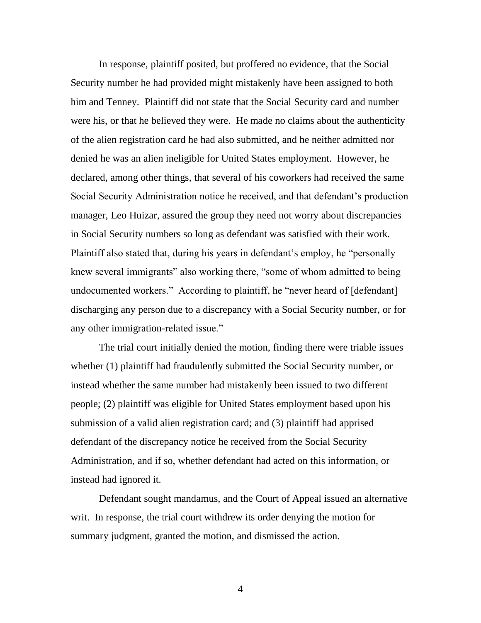In response, plaintiff posited, but proffered no evidence, that the Social Security number he had provided might mistakenly have been assigned to both him and Tenney. Plaintiff did not state that the Social Security card and number were his, or that he believed they were. He made no claims about the authenticity of the alien registration card he had also submitted, and he neither admitted nor denied he was an alien ineligible for United States employment. However, he declared, among other things, that several of his coworkers had received the same Social Security Administration notice he received, and that defendant"s production manager, Leo Huizar, assured the group they need not worry about discrepancies in Social Security numbers so long as defendant was satisfied with their work. Plaintiff also stated that, during his years in defendant"s employ, he "personally knew several immigrants" also working there, "some of whom admitted to being undocumented workers." According to plaintiff, he "never heard of [defendant] discharging any person due to a discrepancy with a Social Security number, or for any other immigration-related issue."

The trial court initially denied the motion, finding there were triable issues whether (1) plaintiff had fraudulently submitted the Social Security number, or instead whether the same number had mistakenly been issued to two different people; (2) plaintiff was eligible for United States employment based upon his submission of a valid alien registration card; and (3) plaintiff had apprised defendant of the discrepancy notice he received from the Social Security Administration, and if so, whether defendant had acted on this information, or instead had ignored it.

Defendant sought mandamus, and the Court of Appeal issued an alternative writ. In response, the trial court withdrew its order denying the motion for summary judgment, granted the motion, and dismissed the action.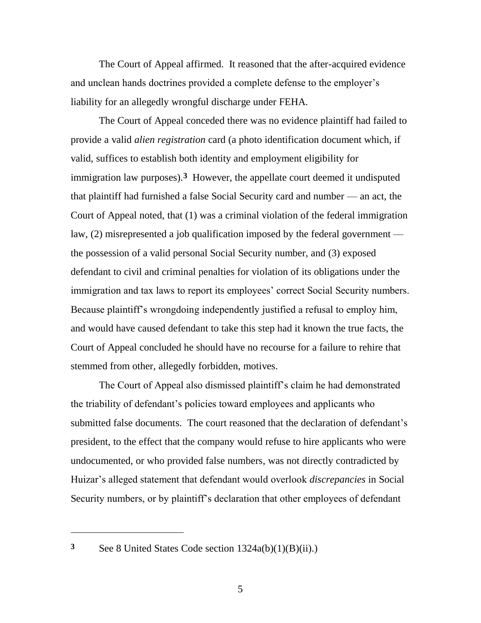The Court of Appeal affirmed. It reasoned that the after-acquired evidence and unclean hands doctrines provided a complete defense to the employer"s liability for an allegedly wrongful discharge under FEHA.

The Court of Appeal conceded there was no evidence plaintiff had failed to provide a valid *alien registration* card (a photo identification document which, if valid, suffices to establish both identity and employment eligibility for immigration law purposes).**3** However, the appellate court deemed it undisputed that plaintiff had furnished a false Social Security card and number — an act, the Court of Appeal noted, that (1) was a criminal violation of the federal immigration law, (2) misrepresented a job qualification imposed by the federal government the possession of a valid personal Social Security number, and (3) exposed defendant to civil and criminal penalties for violation of its obligations under the immigration and tax laws to report its employees' correct Social Security numbers. Because plaintiff"s wrongdoing independently justified a refusal to employ him, and would have caused defendant to take this step had it known the true facts, the Court of Appeal concluded he should have no recourse for a failure to rehire that stemmed from other, allegedly forbidden, motives.

The Court of Appeal also dismissed plaintiff"s claim he had demonstrated the triability of defendant"s policies toward employees and applicants who submitted false documents. The court reasoned that the declaration of defendant's president, to the effect that the company would refuse to hire applicants who were undocumented, or who provided false numbers, was not directly contradicted by Huizar"s alleged statement that defendant would overlook *discrepancies* in Social Security numbers, or by plaintiff"s declaration that other employees of defendant

 $\overline{a}$ 

**<sup>3</sup>** See 8 United States Code section 1324a(b)(1)(B)(ii).)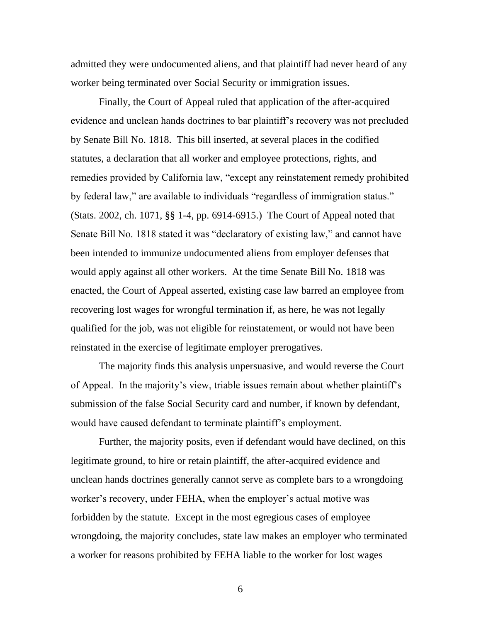admitted they were undocumented aliens, and that plaintiff had never heard of any worker being terminated over Social Security or immigration issues.

Finally, the Court of Appeal ruled that application of the after-acquired evidence and unclean hands doctrines to bar plaintiff"s recovery was not precluded by Senate Bill No. 1818. This bill inserted, at several places in the codified statutes, a declaration that all worker and employee protections, rights, and remedies provided by California law, "except any reinstatement remedy prohibited by federal law," are available to individuals "regardless of immigration status." (Stats. 2002, ch. 1071, §§ 1-4, pp. 6914-6915.) The Court of Appeal noted that Senate Bill No. 1818 stated it was "declaratory of existing law," and cannot have been intended to immunize undocumented aliens from employer defenses that would apply against all other workers. At the time Senate Bill No. 1818 was enacted, the Court of Appeal asserted, existing case law barred an employee from recovering lost wages for wrongful termination if, as here, he was not legally qualified for the job, was not eligible for reinstatement, or would not have been reinstated in the exercise of legitimate employer prerogatives.

The majority finds this analysis unpersuasive, and would reverse the Court of Appeal. In the majority"s view, triable issues remain about whether plaintiff"s submission of the false Social Security card and number, if known by defendant, would have caused defendant to terminate plaintiff"s employment.

Further, the majority posits, even if defendant would have declined, on this legitimate ground, to hire or retain plaintiff, the after-acquired evidence and unclean hands doctrines generally cannot serve as complete bars to a wrongdoing worker's recovery, under FEHA, when the employer's actual motive was forbidden by the statute. Except in the most egregious cases of employee wrongdoing, the majority concludes, state law makes an employer who terminated a worker for reasons prohibited by FEHA liable to the worker for lost wages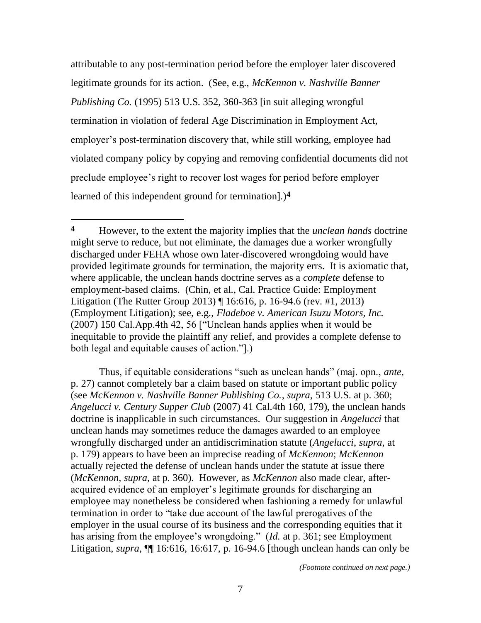attributable to any post-termination period before the employer later discovered legitimate grounds for its action. (See, e.g., *McKennon v. Nashville Banner Publishing Co.* (1995) 513 U.S. 352, 360-363 [in suit alleging wrongful termination in violation of federal Age Discrimination in Employment Act, employer"s post-termination discovery that, while still working, employee had violated company policy by copying and removing confidential documents did not preclude employee"s right to recover lost wages for period before employer learned of this independent ground for termination].)**4**

 $\overline{a}$ 

Thus, if equitable considerations "such as unclean hands" (maj. opn., *ante*, p. 27) cannot completely bar a claim based on statute or important public policy (see *McKennon v. Nashville Banner Publishing Co.*, *supra*, 513 U.S. at p. 360; *Angelucci v. Century Supper Club* (2007) 41 Cal.4th 160, 179), the unclean hands doctrine is inapplicable in such circumstances. Our suggestion in *Angelucci* that unclean hands may sometimes reduce the damages awarded to an employee wrongfully discharged under an antidiscrimination statute (*Angelucci*, *supra*, at p. 179) appears to have been an imprecise reading of *McKennon*; *McKennon* actually rejected the defense of unclean hands under the statute at issue there (*McKennon*, *supra*, at p. 360). However, as *McKennon* also made clear, afteracquired evidence of an employer"s legitimate grounds for discharging an employee may nonetheless be considered when fashioning a remedy for unlawful termination in order to "take due account of the lawful prerogatives of the employer in the usual course of its business and the corresponding equities that it has arising from the employee's wrongdoing." (*Id.* at p. 361; see Employment Litigation, *supra*, ¶¶ 16:616, 16:617, p. 16-94.6 [though unclean hands can only be

**<sup>4</sup>** However, to the extent the majority implies that the *unclean hands* doctrine might serve to reduce, but not eliminate, the damages due a worker wrongfully discharged under FEHA whose own later-discovered wrongdoing would have provided legitimate grounds for termination, the majority errs. It is axiomatic that, where applicable, the unclean hands doctrine serves as a *complete* defense to employment-based claims. (Chin, et al., Cal. Practice Guide: Employment Litigation (The Rutter Group 2013) ¶ 16:616, p. 16-94.6 (rev. #1, 2013) (Employment Litigation); see, e.g., *Fladeboe v. American Isuzu Motors, Inc.* (2007) 150 Cal.App.4th 42, 56 ["Unclean hands applies when it would be inequitable to provide the plaintiff any relief, and provides a complete defense to both legal and equitable causes of action."].)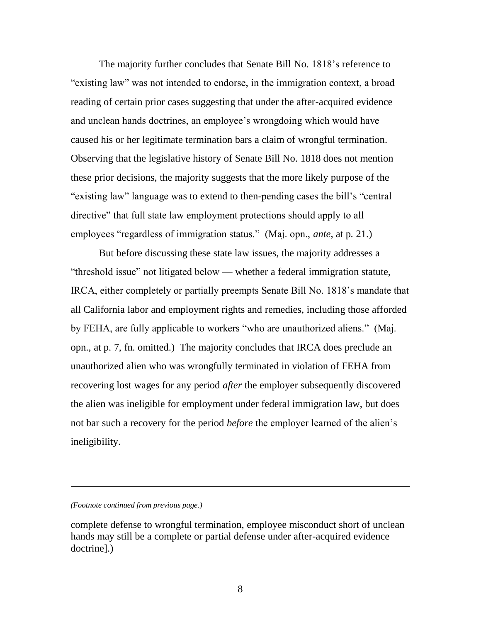The majority further concludes that Senate Bill No. 1818"s reference to "existing law" was not intended to endorse, in the immigration context, a broad reading of certain prior cases suggesting that under the after-acquired evidence and unclean hands doctrines, an employee"s wrongdoing which would have caused his or her legitimate termination bars a claim of wrongful termination. Observing that the legislative history of Senate Bill No. 1818 does not mention these prior decisions, the majority suggests that the more likely purpose of the "existing law" language was to extend to then-pending cases the bill"s "central directive" that full state law employment protections should apply to all employees "regardless of immigration status." (Maj. opn., *ante*, at p. 21.)

But before discussing these state law issues, the majority addresses a "threshold issue" not litigated below — whether a federal immigration statute, IRCA, either completely or partially preempts Senate Bill No. 1818"s mandate that all California labor and employment rights and remedies, including those afforded by FEHA, are fully applicable to workers "who are unauthorized aliens." (Maj. opn., at p. 7, fn. omitted.) The majority concludes that IRCA does preclude an unauthorized alien who was wrongfully terminated in violation of FEHA from recovering lost wages for any period *after* the employer subsequently discovered the alien was ineligible for employment under federal immigration law, but does not bar such a recovery for the period *before* the employer learned of the alien"s ineligibility.

 $\overline{a}$ 

*<sup>(</sup>Footnote continued from previous page.)*

complete defense to wrongful termination, employee misconduct short of unclean hands may still be a complete or partial defense under after-acquired evidence doctrine].)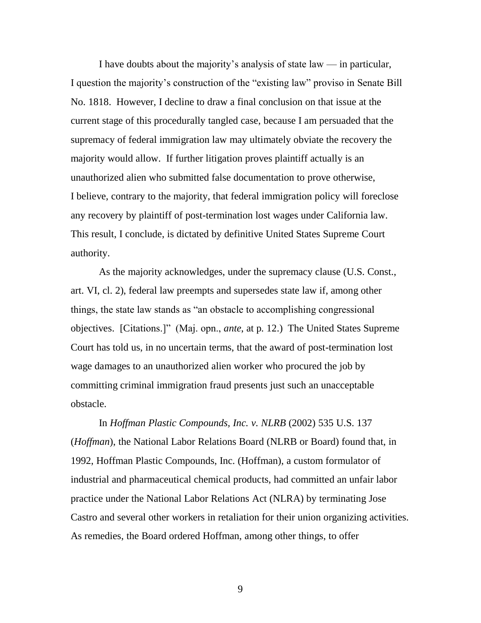I have doubts about the majority's analysis of state law  $-$  in particular, I question the majority"s construction of the "existing law" proviso in Senate Bill No. 1818. However, I decline to draw a final conclusion on that issue at the current stage of this procedurally tangled case, because I am persuaded that the supremacy of federal immigration law may ultimately obviate the recovery the majority would allow. If further litigation proves plaintiff actually is an unauthorized alien who submitted false documentation to prove otherwise, I believe, contrary to the majority, that federal immigration policy will foreclose any recovery by plaintiff of post-termination lost wages under California law. This result, I conclude, is dictated by definitive United States Supreme Court authority.

As the majority acknowledges, under the supremacy clause (U.S. Const., art. VI, cl. 2), federal law preempts and supersedes state law if, among other things, the state law stands as "an obstacle to accomplishing congressional objectives. [Citations.]" (Maj. opn., *ante*, at p. 12.) The United States Supreme Court has told us, in no uncertain terms, that the award of post-termination lost wage damages to an unauthorized alien worker who procured the job by committing criminal immigration fraud presents just such an unacceptable obstacle.

In *Hoffman Plastic Compounds, Inc. v. NLRB* (2002) 535 U.S. 137 (*Hoffman*), the National Labor Relations Board (NLRB or Board) found that, in 1992, Hoffman Plastic Compounds, Inc. (Hoffman), a custom formulator of industrial and pharmaceutical chemical products, had committed an unfair labor practice under the National Labor Relations Act (NLRA) by terminating Jose Castro and several other workers in retaliation for their union organizing activities. As remedies, the Board ordered Hoffman, among other things, to offer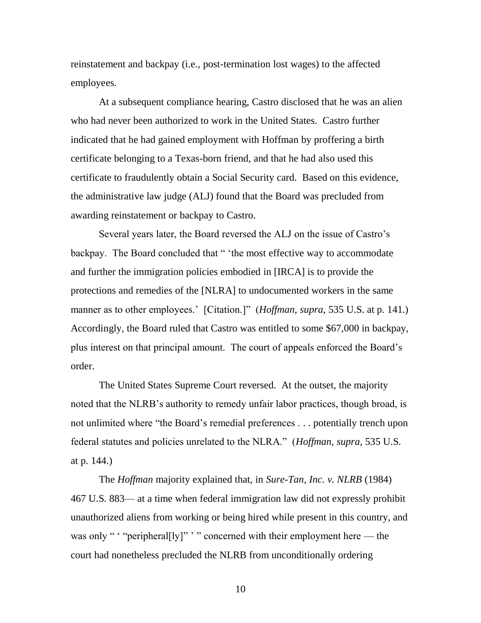reinstatement and backpay (i.e., post-termination lost wages) to the affected employees.

At a subsequent compliance hearing, Castro disclosed that he was an alien who had never been authorized to work in the United States. Castro further indicated that he had gained employment with Hoffman by proffering a birth certificate belonging to a Texas-born friend, and that he had also used this certificate to fraudulently obtain a Social Security card. Based on this evidence, the administrative law judge (ALJ) found that the Board was precluded from awarding reinstatement or backpay to Castro.

Several years later, the Board reversed the ALJ on the issue of Castro's backpay. The Board concluded that " "the most effective way to accommodate and further the immigration policies embodied in [IRCA] is to provide the protections and remedies of the [NLRA] to undocumented workers in the same manner as to other employees.' [Citation.]" (*Hoffman*, *supra*, 535 U.S. at p. 141.) Accordingly, the Board ruled that Castro was entitled to some \$67,000 in backpay, plus interest on that principal amount. The court of appeals enforced the Board"s order.

The United States Supreme Court reversed. At the outset, the majority noted that the NLRB"s authority to remedy unfair labor practices, though broad, is not unlimited where "the Board"s remedial preferences . . . potentially trench upon federal statutes and policies unrelated to the NLRA." (*Hoffman*, *supra*, 535 U.S. at p. 144.)

The *Hoffman* majority explained that, in *Sure-Tan, Inc. v. NLRB* (1984) 467 U.S. 883— at a time when federal immigration law did not expressly prohibit unauthorized aliens from working or being hired while present in this country, and was only " " "peripheral[ly]" " " concerned with their employment here — the court had nonetheless precluded the NLRB from unconditionally ordering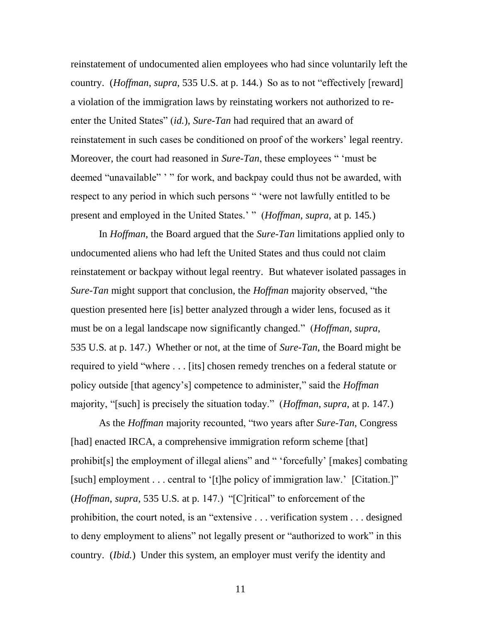reinstatement of undocumented alien employees who had since voluntarily left the country. (*Hoffman*, *supra*, 535 U.S. at p. 144.) So as to not "effectively [reward] a violation of the immigration laws by reinstating workers not authorized to reenter the United States" (*id.*), *Sure-Tan* had required that an award of reinstatement in such cases be conditioned on proof of the workers' legal reentry. Moreover, the court had reasoned in *Sure-Tan*, these employees " "must be deemed "unavailable" '" for work, and backpay could thus not be awarded, with respect to any period in which such persons " "were not lawfully entitled to be present and employed in the United States." " (*Hoffman*, *supra*, at p. 145*.*)

In *Hoffman*, the Board argued that the *Sure-Tan* limitations applied only to undocumented aliens who had left the United States and thus could not claim reinstatement or backpay without legal reentry. But whatever isolated passages in *Sure-Tan* might support that conclusion, the *Hoffman* majority observed, "the question presented here [is] better analyzed through a wider lens, focused as it must be on a legal landscape now significantly changed." (*Hoffman*, *supra*, 535 U.S. at p. 147.) Whether or not, at the time of *Sure-Tan*, the Board might be required to yield "where . . . [its] chosen remedy trenches on a federal statute or policy outside [that agency"s] competence to administer," said the *Hoffman* majority, "[such] is precisely the situation today." (*Hoffman*, *supra*, at p. 147*.*)

As the *Hoffman* majority recounted, "two years after *Sure-Tan*, Congress [had] enacted IRCA, a comprehensive immigration reform scheme [that] prohibit[s] the employment of illegal aliens" and " "forcefully" [makes] combating [such] employment . . . central to '[t]he policy of immigration law.' [Citation.]" (*Hoffman*, *supra*, 535 U.S. at p. 147.) "[C]ritical" to enforcement of the prohibition, the court noted, is an "extensive . . . verification system . . . designed to deny employment to aliens" not legally present or "authorized to work" in this country. (*Ibid.*) Under this system, an employer must verify the identity and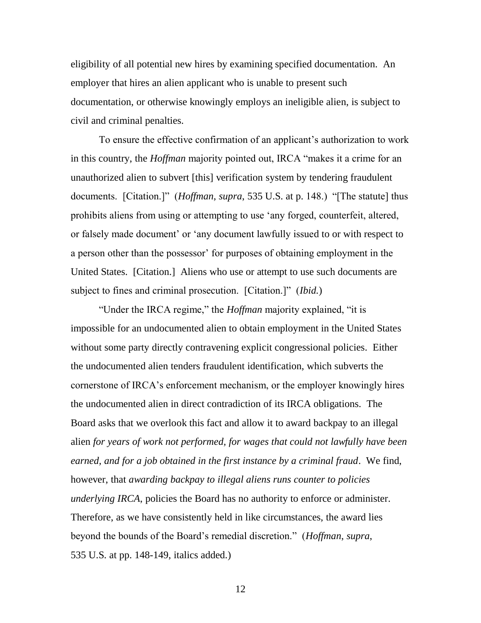eligibility of all potential new hires by examining specified documentation. An employer that hires an alien applicant who is unable to present such documentation, or otherwise knowingly employs an ineligible alien, is subject to civil and criminal penalties.

To ensure the effective confirmation of an applicant's authorization to work in this country, the *Hoffman* majority pointed out, IRCA "makes it a crime for an unauthorized alien to subvert [this] verification system by tendering fraudulent documents. [Citation.]" (*Hoffman*, *supra*, 535 U.S. at p. 148.) "[The statute] thus prohibits aliens from using or attempting to use "any forged, counterfeit, altered, or falsely made document" or "any document lawfully issued to or with respect to a person other than the possessor' for purposes of obtaining employment in the United States. [Citation.] Aliens who use or attempt to use such documents are subject to fines and criminal prosecution. [Citation.]" (*Ibid.*)

"Under the IRCA regime," the *Hoffman* majority explained, "it is impossible for an undocumented alien to obtain employment in the United States without some party directly contravening explicit congressional policies. Either the undocumented alien tenders fraudulent identification, which subverts the cornerstone of IRCA"s enforcement mechanism, or the employer knowingly hires the undocumented alien in direct contradiction of its IRCA obligations. The Board asks that we overlook this fact and allow it to award backpay to an illegal alien *for years of work not performed, for wages that could not lawfully have been earned, and for a job obtained in the first instance by a criminal fraud*. We find, however, that *awarding backpay to illegal aliens runs counter to policies underlying IRCA*, policies the Board has no authority to enforce or administer. Therefore, as we have consistently held in like circumstances, the award lies beyond the bounds of the Board"s remedial discretion." (*Hoffman*, *supra*, 535 U.S. at pp. 148-149, italics added.)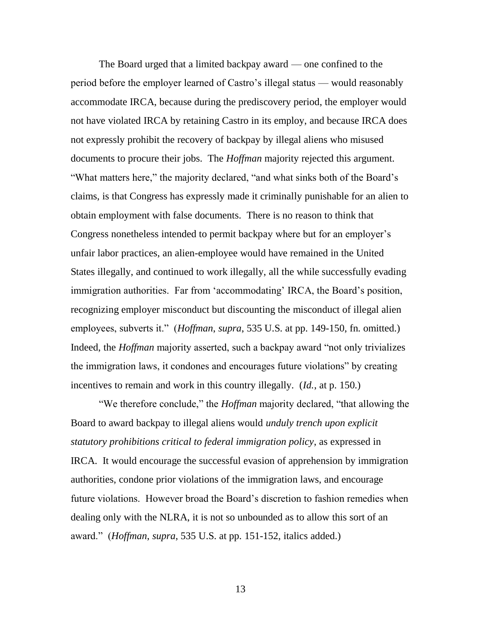The Board urged that a limited backpay award — one confined to the period before the employer learned of Castro"s illegal status — would reasonably accommodate IRCA, because during the prediscovery period, the employer would not have violated IRCA by retaining Castro in its employ, and because IRCA does not expressly prohibit the recovery of backpay by illegal aliens who misused documents to procure their jobs. The *Hoffman* majority rejected this argument. "What matters here," the majority declared, "and what sinks both of the Board"s claims, is that Congress has expressly made it criminally punishable for an alien to obtain employment with false documents. There is no reason to think that Congress nonetheless intended to permit backpay where but for an employer"s unfair labor practices, an alien-employee would have remained in the United States illegally, and continued to work illegally, all the while successfully evading immigration authorities. Far from 'accommodating' IRCA, the Board's position, recognizing employer misconduct but discounting the misconduct of illegal alien employees, subverts it." (*Hoffman*, *supra*, 535 U.S. at pp. 149-150, fn. omitted.) Indeed, the *Hoffman* majority asserted, such a backpay award "not only trivializes the immigration laws, it condones and encourages future violations" by creating incentives to remain and work in this country illegally. (*Id.*, at p. 150.)

"We therefore conclude," the *Hoffman* majority declared, "that allowing the Board to award backpay to illegal aliens would *unduly trench upon explicit statutory prohibitions critical to federal immigration policy*, as expressed in IRCA. It would encourage the successful evasion of apprehension by immigration authorities, condone prior violations of the immigration laws, and encourage future violations. However broad the Board"s discretion to fashion remedies when dealing only with the NLRA, it is not so unbounded as to allow this sort of an award." (*Hoffman*, *supra*, 535 U.S. at pp. 151-152, italics added.)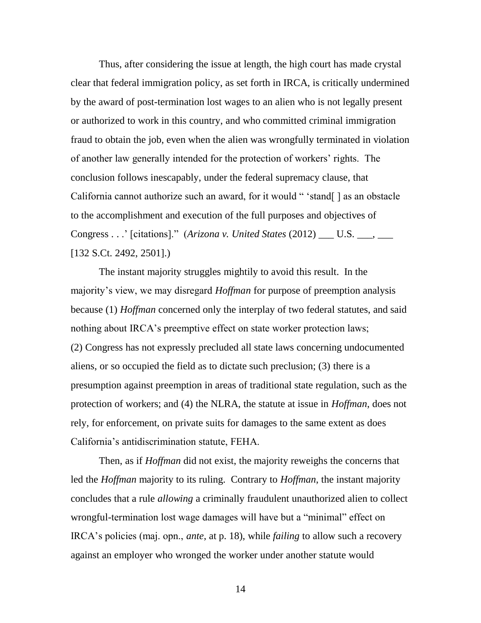Thus, after considering the issue at length, the high court has made crystal clear that federal immigration policy, as set forth in IRCA, is critically undermined by the award of post-termination lost wages to an alien who is not legally present or authorized to work in this country, and who committed criminal immigration fraud to obtain the job, even when the alien was wrongfully terminated in violation of another law generally intended for the protection of workers" rights. The conclusion follows inescapably, under the federal supremacy clause, that California cannot authorize such an award, for it would " 'stand[] as an obstacle to the accomplishment and execution of the full purposes and objectives of Congress . . ." [citations]." (*Arizona v. United States* (2012) \_\_\_ U.S. \_\_\_, \_\_\_ [132 S.Ct. 2492, 2501].)

The instant majority struggles mightily to avoid this result. In the majority"s view, we may disregard *Hoffman* for purpose of preemption analysis because (1) *Hoffman* concerned only the interplay of two federal statutes, and said nothing about IRCA's preemptive effect on state worker protection laws; (2) Congress has not expressly precluded all state laws concerning undocumented aliens, or so occupied the field as to dictate such preclusion; (3) there is a presumption against preemption in areas of traditional state regulation, such as the protection of workers; and (4) the NLRA, the statute at issue in *Hoffman*, does not rely, for enforcement, on private suits for damages to the same extent as does California"s antidiscrimination statute, FEHA.

Then, as if *Hoffman* did not exist, the majority reweighs the concerns that led the *Hoffman* majority to its ruling. Contrary to *Hoffman*, the instant majority concludes that a rule *allowing* a criminally fraudulent unauthorized alien to collect wrongful-termination lost wage damages will have but a "minimal" effect on IRCA"s policies (maj. opn., *ante*, at p. 18), while *failing* to allow such a recovery against an employer who wronged the worker under another statute would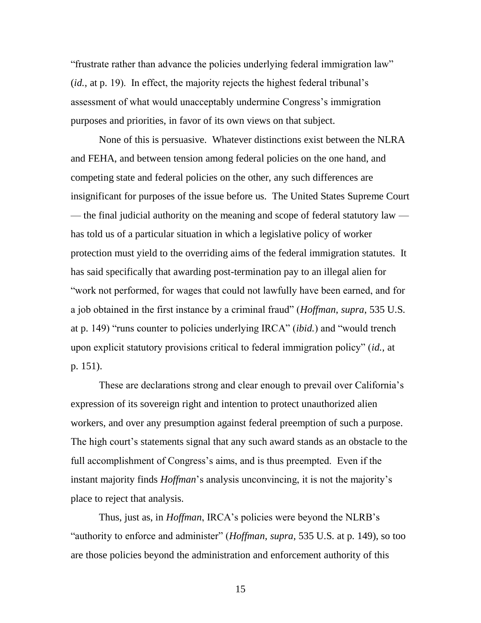"frustrate rather than advance the policies underlying federal immigration law" (*id.*, at p. 19). In effect, the majority rejects the highest federal tribunal"s assessment of what would unacceptably undermine Congress's immigration purposes and priorities, in favor of its own views on that subject.

None of this is persuasive. Whatever distinctions exist between the NLRA and FEHA, and between tension among federal policies on the one hand, and competing state and federal policies on the other, any such differences are insignificant for purposes of the issue before us. The United States Supreme Court — the final judicial authority on the meaning and scope of federal statutory law has told us of a particular situation in which a legislative policy of worker protection must yield to the overriding aims of the federal immigration statutes. It has said specifically that awarding post-termination pay to an illegal alien for "work not performed, for wages that could not lawfully have been earned, and for a job obtained in the first instance by a criminal fraud" (*Hoffman*, *supra*, 535 U.S. at p. 149) "runs counter to policies underlying IRCA" (*ibid.*) and "would trench upon explicit statutory provisions critical to federal immigration policy" (*id.*, at p. 151).

These are declarations strong and clear enough to prevail over California's expression of its sovereign right and intention to protect unauthorized alien workers, and over any presumption against federal preemption of such a purpose. The high court's statements signal that any such award stands as an obstacle to the full accomplishment of Congress's aims, and is thus preempted. Even if the instant majority finds *Hoffman*'s analysis unconvincing, it is not the majority's place to reject that analysis.

Thus, just as, in *Hoffman*, IRCA's policies were beyond the NLRB's "authority to enforce and administer" (*Hoffman*, *supra*, 535 U.S. at p. 149), so too are those policies beyond the administration and enforcement authority of this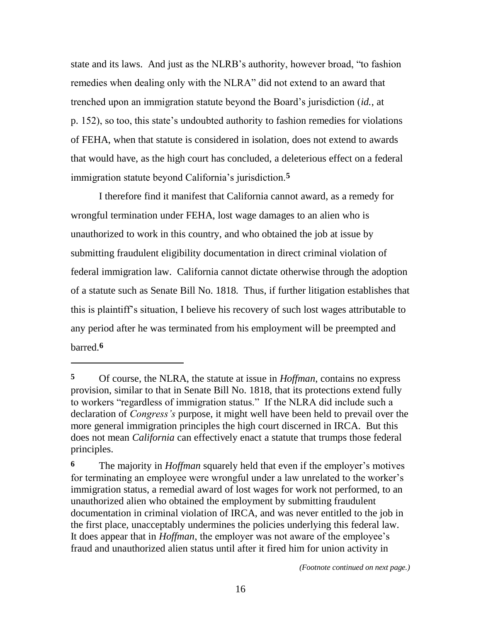state and its laws. And just as the NLRB"s authority, however broad, "to fashion remedies when dealing only with the NLRA" did not extend to an award that trenched upon an immigration statute beyond the Board"s jurisdiction (*id.*, at p. 152), so too, this state's undoubted authority to fashion remedies for violations of FEHA, when that statute is considered in isolation, does not extend to awards that would have, as the high court has concluded, a deleterious effect on a federal immigration statute beyond California"s jurisdiction.**5**

I therefore find it manifest that California cannot award, as a remedy for wrongful termination under FEHA, lost wage damages to an alien who is unauthorized to work in this country, and who obtained the job at issue by submitting fraudulent eligibility documentation in direct criminal violation of federal immigration law. California cannot dictate otherwise through the adoption of a statute such as Senate Bill No. 1818. Thus, if further litigation establishes that this is plaintiff"s situation, I believe his recovery of such lost wages attributable to any period after he was terminated from his employment will be preempted and barred.**6**

 $\overline{a}$ 

**<sup>5</sup>** Of course, the NLRA, the statute at issue in *Hoffman*, contains no express provision, similar to that in Senate Bill No. 1818, that its protections extend fully to workers "regardless of immigration status." If the NLRA did include such a declaration of *Congress's* purpose, it might well have been held to prevail over the more general immigration principles the high court discerned in IRCA. But this does not mean *California* can effectively enact a statute that trumps those federal principles.

**<sup>6</sup>** The majority in *Hoffman* squarely held that even if the employer's motives for terminating an employee were wrongful under a law unrelated to the worker"s immigration status, a remedial award of lost wages for work not performed, to an unauthorized alien who obtained the employment by submitting fraudulent documentation in criminal violation of IRCA, and was never entitled to the job in the first place, unacceptably undermines the policies underlying this federal law. It does appear that in *Hoffman*, the employer was not aware of the employee"s fraud and unauthorized alien status until after it fired him for union activity in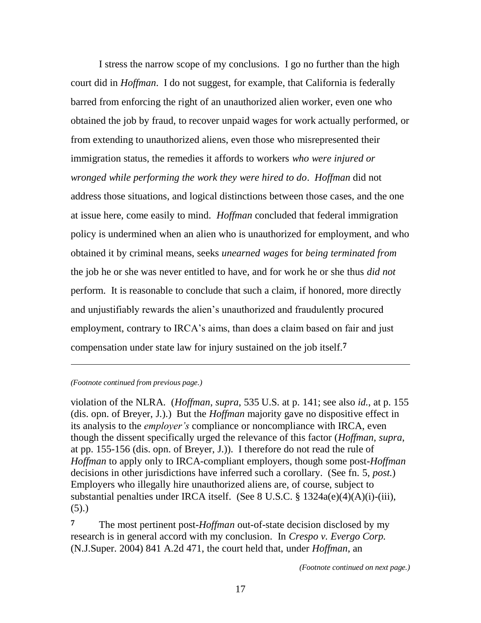I stress the narrow scope of my conclusions. I go no further than the high court did in *Hoffman*. I do not suggest, for example, that California is federally barred from enforcing the right of an unauthorized alien worker, even one who obtained the job by fraud, to recover unpaid wages for work actually performed, or from extending to unauthorized aliens, even those who misrepresented their immigration status, the remedies it affords to workers *who were injured or wronged while performing the work they were hired to do*. *Hoffman* did not address those situations, and logical distinctions between those cases, and the one at issue here, come easily to mind. *Hoffman* concluded that federal immigration policy is undermined when an alien who is unauthorized for employment, and who obtained it by criminal means, seeks *unearned wages* for *being terminated from* the job he or she was never entitled to have, and for work he or she thus *did not* perform. It is reasonable to conclude that such a claim, if honored, more directly and unjustifiably rewards the alien"s unauthorized and fraudulently procured employment, contrary to IRCA's aims, than does a claim based on fair and just compensation under state law for injury sustained on the job itself.**7**

*(Footnote continued from previous page.)*

 $\overline{a}$ 

violation of the NLRA. (*Hoffman*, *supra*, 535 U.S. at p. 141; see also *id.*, at p. 155 (dis. opn. of Breyer, J.).) But the *Hoffman* majority gave no dispositive effect in its analysis to the *employer's* compliance or noncompliance with IRCA, even though the dissent specifically urged the relevance of this factor (*Hoffman*, *supra*, at pp. 155-156 (dis. opn. of Breyer, J.)). I therefore do not read the rule of *Hoffman* to apply only to IRCA-compliant employers, though some post-*Hoffman* decisions in other jurisdictions have inferred such a corollary. (See fn. 5, *post*.) Employers who illegally hire unauthorized aliens are, of course, subject to substantial penalties under IRCA itself. (See 8 U.S.C. § 1324a(e)(4)(A)(i)-(iii),  $(5).$ 

**7** The most pertinent post-*Hoffman* out-of-state decision disclosed by my research is in general accord with my conclusion. In *Crespo v. Evergo Corp.* (N.J.Super. 2004) 841 A.2d 471, the court held that, under *Hoffman*, an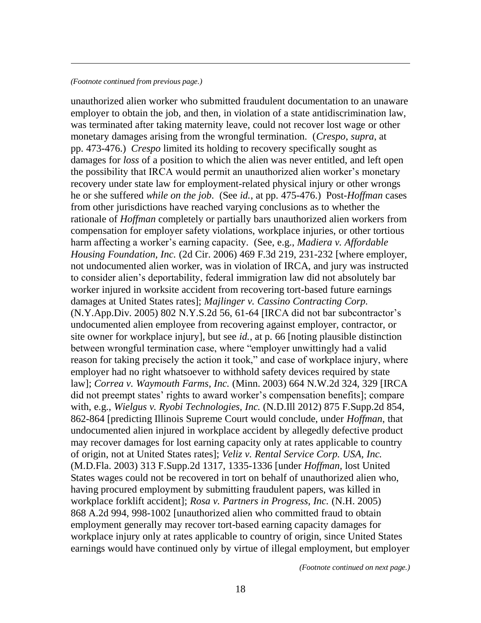### *(Footnote continued from previous page.)*

 $\overline{a}$ 

unauthorized alien worker who submitted fraudulent documentation to an unaware employer to obtain the job, and then, in violation of a state antidiscrimination law, was terminated after taking maternity leave, could not recover lost wage or other monetary damages arising from the wrongful termination. (*Crespo*, *supra*, at pp. 473-476.) *Crespo* limited its holding to recovery specifically sought as damages for *loss* of a position to which the alien was never entitled, and left open the possibility that IRCA would permit an unauthorized alien worker"s monetary recovery under state law for employment-related physical injury or other wrongs he or she suffered *while on the job*. (See *id.*, at pp. 475-476.) Post-*Hoffman* cases from other jurisdictions have reached varying conclusions as to whether the rationale of *Hoffman* completely or partially bars unauthorized alien workers from compensation for employer safety violations, workplace injuries, or other tortious harm affecting a worker"s earning capacity. (See, e.g., *Madiera v. Affordable Housing Foundation, Inc.* (2d Cir. 2006) 469 F.3d 219, 231-232 [where employer, not undocumented alien worker, was in violation of IRCA, and jury was instructed to consider alien"s deportability, federal immigration law did not absolutely bar worker injured in worksite accident from recovering tort-based future earnings damages at United States rates]; *Majlinger v. Cassino Contracting Corp.* (N.Y.App.Div. 2005) 802 N.Y.S.2d 56, 61-64 [IRCA did not bar subcontractor"s undocumented alien employee from recovering against employer, contractor, or site owner for workplace injury], but see *id.*, at p. 66 [noting plausible distinction between wrongful termination case, where "employer unwittingly had a valid reason for taking precisely the action it took," and case of workplace injury, where employer had no right whatsoever to withhold safety devices required by state law]; *Correa v. Waymouth Farms, Inc.* (Minn. 2003) 664 N.W.2d 324, 329 [IRCA did not preempt states" rights to award worker"s compensation benefits]; compare with, e.g., *Wielgus v. Ryobi Technologies, Inc.* (N.D.Ill 2012) 875 F.Supp.2d 854, 862-864 [predicting Illinois Supreme Court would conclude, under *Hoffman*, that undocumented alien injured in workplace accident by allegedly defective product may recover damages for lost earning capacity only at rates applicable to country of origin, not at United States rates]; *Veliz v. Rental Service Corp. USA, Inc.* (M.D.Fla. 2003) 313 F.Supp.2d 1317, 1335-1336 [under *Hoffman,* lost United States wages could not be recovered in tort on behalf of unauthorized alien who, having procured employment by submitting fraudulent papers, was killed in workplace forklift accident]; *Rosa v. Partners in Progress, Inc.* (N.H. 2005) 868 A.2d 994, 998-1002 [unauthorized alien who committed fraud to obtain employment generally may recover tort-based earning capacity damages for workplace injury only at rates applicable to country of origin, since United States earnings would have continued only by virtue of illegal employment, but employer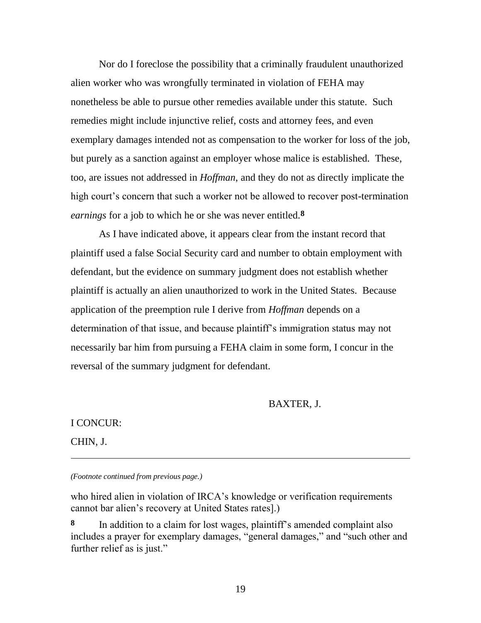Nor do I foreclose the possibility that a criminally fraudulent unauthorized alien worker who was wrongfully terminated in violation of FEHA may nonetheless be able to pursue other remedies available under this statute. Such remedies might include injunctive relief, costs and attorney fees, and even exemplary damages intended not as compensation to the worker for loss of the job, but purely as a sanction against an employer whose malice is established. These, too, are issues not addressed in *Hoffman*, and they do not as directly implicate the high court's concern that such a worker not be allowed to recover post-termination *earnings* for a job to which he or she was never entitled.**8**

As I have indicated above, it appears clear from the instant record that plaintiff used a false Social Security card and number to obtain employment with defendant, but the evidence on summary judgment does not establish whether plaintiff is actually an alien unauthorized to work in the United States. Because application of the preemption rule I derive from *Hoffman* depends on a determination of that issue, and because plaintiff"s immigration status may not necessarily bar him from pursuing a FEHA claim in some form, I concur in the reversal of the summary judgment for defendant.

BAXTER, J.

I CONCUR:

CHIN, J.

 $\overline{a}$ 

*(Footnote continued from previous page.)*

who hired alien in violation of IRCA's knowledge or verification requirements cannot bar alien"s recovery at United States rates].)

**8** In addition to a claim for lost wages, plaintiff"s amended complaint also includes a prayer for exemplary damages, "general damages," and "such other and further relief as is just."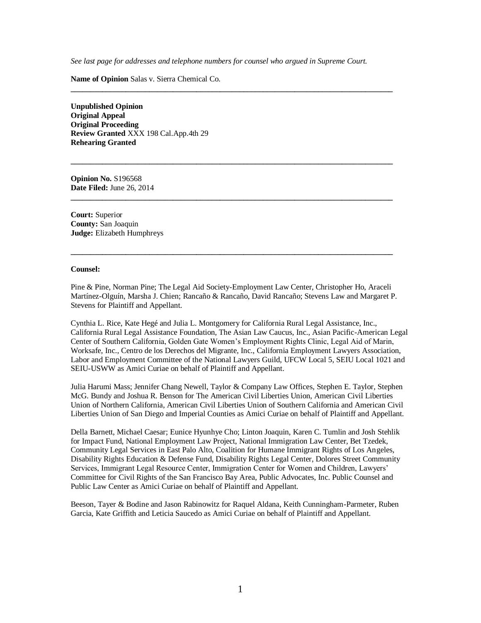*See last page for addresses and telephone numbers for counsel who argued in Supreme Court.*

**\_\_\_\_\_\_\_\_\_\_\_\_\_\_\_\_\_\_\_\_\_\_\_\_\_\_\_\_\_\_\_\_\_\_\_\_\_\_\_\_\_\_\_\_\_\_\_\_\_\_\_\_\_\_\_\_\_\_\_\_\_\_\_\_\_\_\_\_\_\_\_\_\_\_\_\_\_\_\_\_\_\_**

**\_\_\_\_\_\_\_\_\_\_\_\_\_\_\_\_\_\_\_\_\_\_\_\_\_\_\_\_\_\_\_\_\_\_\_\_\_\_\_\_\_\_\_\_\_\_\_\_\_\_\_\_\_\_\_\_\_\_\_\_\_\_\_\_\_\_\_\_\_\_\_\_\_\_\_\_\_\_\_\_\_\_**

**\_\_\_\_\_\_\_\_\_\_\_\_\_\_\_\_\_\_\_\_\_\_\_\_\_\_\_\_\_\_\_\_\_\_\_\_\_\_\_\_\_\_\_\_\_\_\_\_\_\_\_\_\_\_\_\_\_\_\_\_\_\_\_\_\_\_\_\_\_\_\_\_\_\_\_\_\_\_\_\_\_\_**

**\_\_\_\_\_\_\_\_\_\_\_\_\_\_\_\_\_\_\_\_\_\_\_\_\_\_\_\_\_\_\_\_\_\_\_\_\_\_\_\_\_\_\_\_\_\_\_\_\_\_\_\_\_\_\_\_\_\_\_\_\_\_\_\_\_\_\_\_\_\_\_\_\_\_\_\_\_\_\_\_\_\_**

**Name of Opinion** Salas v. Sierra Chemical Co.

**Unpublished Opinion Original Appeal Original Proceeding Review Granted** XXX 198 Cal.App.4th 29 **Rehearing Granted**

**Opinion No.** S196568 **Date Filed:** June 26, 2014

**Court:** Superior **County:** San Joaquin **Judge:** Elizabeth Humphreys

#### **Counsel:**

Pine & Pine, Norman Pine; The Legal Aid Society-Employment Law Center, Christopher Ho, Araceli Martínez-Olguín, Marsha J. Chien; Rancaño & Rancaño, David Rancaño; Stevens Law and Margaret P. Stevens for Plaintiff and Appellant.

Cynthia L. Rice, Kate Hegé and Julia L. Montgomery for California Rural Legal Assistance, Inc., California Rural Legal Assistance Foundation, The Asian Law Caucus, Inc., Asian Pacific-American Legal Center of Southern California, Golden Gate Women"s Employment Rights Clinic, Legal Aid of Marin, Worksafe, Inc., Centro de los Derechos del Migrante, Inc., California Employment Lawyers Association, Labor and Employment Committee of the National Lawyers Guild, UFCW Local 5, SEIU Local 1021 and SEIU-USWW as Amici Curiae on behalf of Plaintiff and Appellant.

Julia Harumi Mass; Jennifer Chang Newell, Taylor & Company Law Offices, Stephen E. Taylor, Stephen McG. Bundy and Joshua R. Benson for The American Civil Liberties Union, American Civil Liberties Union of Northern California, American Civil Liberties Union of Southern California and American Civil Liberties Union of San Diego and Imperial Counties as Amici Curiae on behalf of Plaintiff and Appellant.

Della Barnett, Michael Caesar; Eunice Hyunhye Cho; Linton Joaquin, Karen C. Tumlin and Josh Stehlik for Impact Fund, National Employment Law Project, National Immigration Law Center, Bet Tzedek, Community Legal Services in East Palo Alto, Coalition for Humane Immigrant Rights of Los Angeles, Disability Rights Education & Defense Fund, Disability Rights Legal Center, Dolores Street Community Services, Immigrant Legal Resource Center, Immigration Center for Women and Children, Lawyers" Committee for Civil Rights of the San Francisco Bay Area, Public Advocates, Inc. Public Counsel and Public Law Center as Amici Curiae on behalf of Plaintiff and Appellant.

Beeson, Tayer & Bodine and Jason Rabinowitz for Raquel Aldana, Keith Cunningham-Parmeter, Ruben Garcia, Kate Griffith and Leticia Saucedo as Amici Curiae on behalf of Plaintiff and Appellant.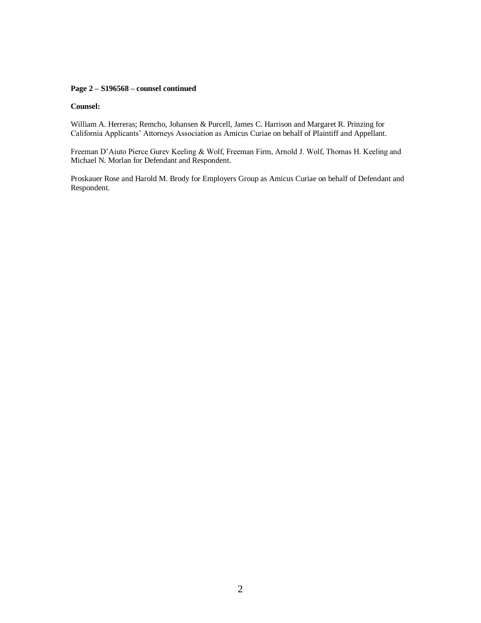### **Page 2 – S196568 – counsel continued**

#### **Counsel:**

William A. Herreras; Remcho, Johansen & Purcell, James C. Harrison and Margaret R. Prinzing for California Applicants" Attorneys Association as Amicus Curiae on behalf of Plaintiff and Appellant.

Freeman D"Aiuto Pierce Gurev Keeling & Wolf, Freeman Firm, Arnold J. Wolf, Thomas H. Keeling and Michael N. Morlan for Defendant and Respondent.

Proskauer Rose and Harold M. Brody for Employers Group as Amicus Curiae on behalf of Defendant and Respondent.